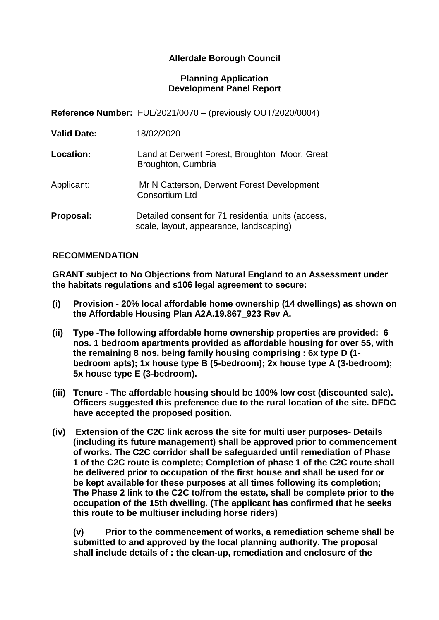# **Allerdale Borough Council**

#### **Planning Application Development Panel Report**

**Reference Number:** FUL/2021/0070 – (previously OUT/2020/0004)

| <b>Location:</b> | Land at Derwent Forest, Broughton Moor, Great |  |
|------------------|-----------------------------------------------|--|
|                  | Broughton, Cumbria                            |  |
|                  |                                               |  |

Applicant: Mr N Catterson, Derwent Forest Development Consortium Ltd

**Proposal:** Detailed consent for 71 residential units (access, scale, layout, appearance, landscaping)

#### **RECOMMENDATION**

**GRANT subject to No Objections from Natural England to an Assessment under the habitats regulations and s106 legal agreement to secure:**

- **(i) Provision - 20% local affordable home ownership (14 dwellings) as shown on the Affordable Housing Plan A2A.19.867\_923 Rev A.**
- **(ii) Type -The following affordable home ownership properties are provided: 6 nos. 1 bedroom apartments provided as affordable housing for over 55, with the remaining 8 nos. being family housing comprising : 6x type D (1 bedroom apts); 1x house type B (5-bedroom); 2x house type A (3-bedroom); 5x house type E (3-bedroom).**
- **(iii) Tenure - The affordable housing should be 100% low cost (discounted sale). Officers suggested this preference due to the rural location of the site. DFDC have accepted the proposed position.**
- **(iv) Extension of the C2C link across the site for multi user purposes- Details (including its future management) shall be approved prior to commencement of works. The C2C corridor shall be safeguarded until remediation of Phase 1 of the C2C route is complete; Completion of phase 1 of the C2C route shall be delivered prior to occupation of the first house and shall be used for or be kept available for these purposes at all times following its completion; The Phase 2 link to the C2C to/from the estate, shall be complete prior to the occupation of the 15th dwelling. (The applicant has confirmed that he seeks this route to be multiuser including horse riders)**

**(v) Prior to the commencement of works, a remediation scheme shall be submitted to and approved by the local planning authority. The proposal shall include details of : the clean-up, remediation and enclosure of the**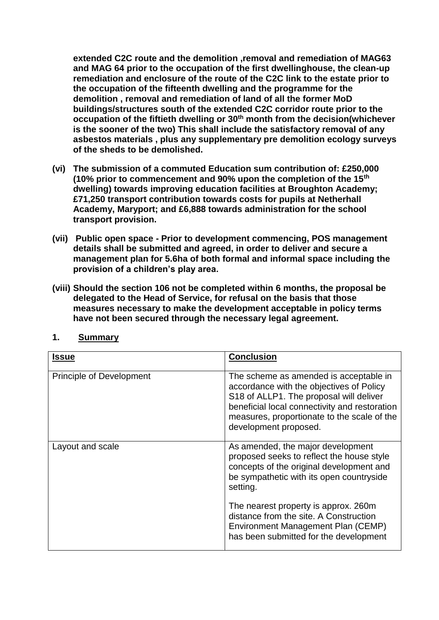**extended C2C route and the demolition ,removal and remediation of MAG63 and MAG 64 prior to the occupation of the first dwellinghouse, the clean-up remediation and enclosure of the route of the C2C link to the estate prior to the occupation of the fifteenth dwelling and the programme for the demolition , removal and remediation of land of all the former MoD buildings/structures south of the extended C2C corridor route prior to the occupation of the fiftieth dwelling or 30th month from the decision(whichever is the sooner of the two) This shall include the satisfactory removal of any asbestos materials , plus any supplementary pre demolition ecology surveys of the sheds to be demolished.**

- **(vi) The submission of a commuted Education sum contribution of: £250,000 (10% prior to commencement and 90% upon the completion of the 15th dwelling) towards improving education facilities at Broughton Academy; £71,250 transport contribution towards costs for pupils at Netherhall Academy, Maryport; and £6,888 towards administration for the school transport provision.**
- **(vii) Public open space - Prior to development commencing, POS management details shall be submitted and agreed, in order to deliver and secure a management plan for 5.6ha of both formal and informal space including the provision of a children's play area.**
- **(viii) Should the section 106 not be completed within 6 months, the proposal be delegated to the Head of Service, for refusal on the basis that those measures necessary to make the development acceptable in policy terms have not been secured through the necessary legal agreement.**

| <b>Issue</b>                    | <b>Conclusion</b>                                                                                                                                                                                                                                      |
|---------------------------------|--------------------------------------------------------------------------------------------------------------------------------------------------------------------------------------------------------------------------------------------------------|
| <b>Principle of Development</b> | The scheme as amended is acceptable in<br>accordance with the objectives of Policy<br>S18 of ALLP1. The proposal will deliver<br>beneficial local connectivity and restoration<br>measures, proportionate to the scale of the<br>development proposed. |
| Layout and scale                | As amended, the major development<br>proposed seeks to reflect the house style<br>concepts of the original development and<br>be sympathetic with its open countryside<br>setting.                                                                     |
|                                 | The nearest property is approx. 260m<br>distance from the site. A Construction<br>Environment Management Plan (CEMP)<br>has been submitted for the development                                                                                         |

#### **1. Summary**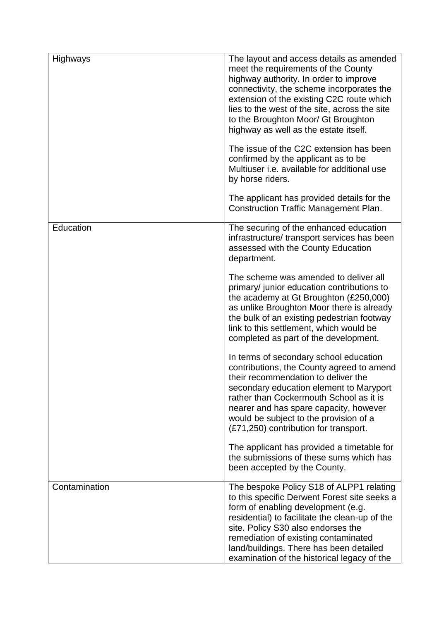| Highways      | The layout and access details as amended<br>meet the requirements of the County<br>highway authority. In order to improve<br>connectivity, the scheme incorporates the<br>extension of the existing C2C route which<br>lies to the west of the site, across the site<br>to the Broughton Moor/ Gt Broughton<br>highway as well as the estate itself.<br>The issue of the C2C extension has been<br>confirmed by the applicant as to be<br>Multiuser i.e. available for additional use<br>by horse riders.<br>The applicant has provided details for the<br><b>Construction Traffic Management Plan.</b>                                                                                                                                                                                                                                                                                                                              |
|---------------|--------------------------------------------------------------------------------------------------------------------------------------------------------------------------------------------------------------------------------------------------------------------------------------------------------------------------------------------------------------------------------------------------------------------------------------------------------------------------------------------------------------------------------------------------------------------------------------------------------------------------------------------------------------------------------------------------------------------------------------------------------------------------------------------------------------------------------------------------------------------------------------------------------------------------------------|
| Education     | The securing of the enhanced education<br>infrastructure/ transport services has been<br>assessed with the County Education<br>department.<br>The scheme was amended to deliver all<br>primary/ junior education contributions to<br>the academy at Gt Broughton (£250,000)<br>as unlike Broughton Moor there is already<br>the bulk of an existing pedestrian footway<br>link to this settlement, which would be<br>completed as part of the development.<br>In terms of secondary school education<br>contributions, the County agreed to amend<br>their recommendation to deliver the<br>secondary education element to Maryport<br>rather than Cockermouth School as it is<br>nearer and has spare capacity, however<br>would be subject to the provision of a<br>(£71,250) contribution for transport.<br>The applicant has provided a timetable for<br>the submissions of these sums which has<br>been accepted by the County. |
| Contamination | The bespoke Policy S18 of ALPP1 relating<br>to this specific Derwent Forest site seeks a<br>form of enabling development (e.g.<br>residential) to facilitate the clean-up of the<br>site. Policy S30 also endorses the<br>remediation of existing contaminated<br>land/buildings. There has been detailed<br>examination of the historical legacy of the                                                                                                                                                                                                                                                                                                                                                                                                                                                                                                                                                                             |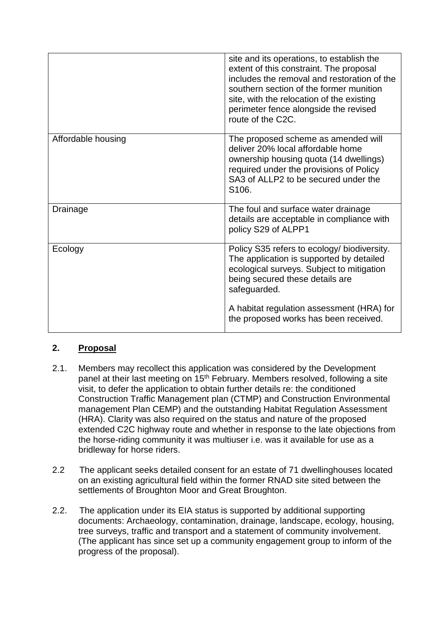|                    | site and its operations, to establish the<br>extent of this constraint. The proposal<br>includes the removal and restoration of the<br>southern section of the former munition<br>site, with the relocation of the existing<br>perimeter fence alongside the revised<br>route of the C2C. |
|--------------------|-------------------------------------------------------------------------------------------------------------------------------------------------------------------------------------------------------------------------------------------------------------------------------------------|
| Affordable housing | The proposed scheme as amended will<br>deliver 20% local affordable home<br>ownership housing quota (14 dwellings)<br>required under the provisions of Policy<br>SA3 of ALLP2 to be secured under the<br>S <sub>106</sub> .                                                               |
| Drainage           | The foul and surface water drainage<br>details are acceptable in compliance with<br>policy S29 of ALPP1                                                                                                                                                                                   |
| Ecology            | Policy S35 refers to ecology/ biodiversity.<br>The application is supported by detailed<br>ecological surveys. Subject to mitigation<br>being secured these details are<br>safeguarded.                                                                                                   |
|                    | A habitat regulation assessment (HRA) for<br>the proposed works has been received.                                                                                                                                                                                                        |

# **2. Proposal**

- 2.1. Members may recollect this application was considered by the Development panel at their last meeting on 15<sup>th</sup> February. Members resolved, following a site visit, to defer the application to obtain further details re: the conditioned Construction Traffic Management plan (CTMP) and Construction Environmental management Plan CEMP) and the outstanding Habitat Regulation Assessment (HRA). Clarity was also required on the status and nature of the proposed extended C2C highway route and whether in response to the late objections from the horse-riding community it was multiuser i.e. was it available for use as a bridleway for horse riders.
- 2.2 The applicant seeks detailed consent for an estate of 71 dwellinghouses located on an existing agricultural field within the former RNAD site sited between the settlements of Broughton Moor and Great Broughton.
- 2.2. The application under its EIA status is supported by additional supporting documents: Archaeology, contamination, drainage, landscape, ecology, housing, tree surveys, traffic and transport and a statement of community involvement. (The applicant has since set up a community engagement group to inform of the progress of the proposal).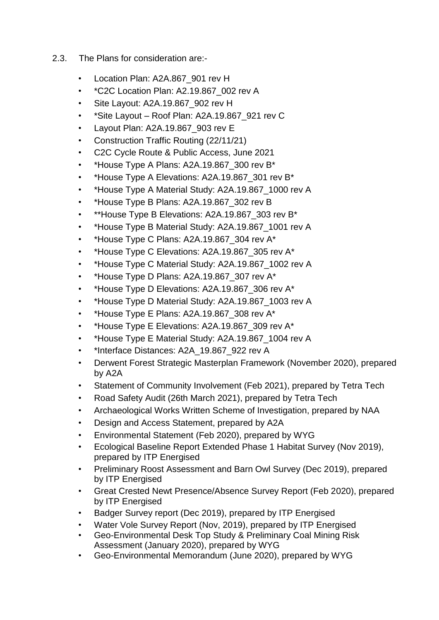- 2.3. The Plans for consideration are:-
	- Location Plan: A2A.867\_901 rev H
	- \*C2C Location Plan: A2.19.867\_002 rev A
	- Site Layout: A2A.19.867\_902 rev H
	- \*Site Layout Roof Plan: A2A.19.867\_921 rev C
	- Layout Plan: A2A.19.867\_903 rev E
	- Construction Traffic Routing (22/11/21)
	- C2C Cycle Route & Public Access, June 2021
	- \*House Type A Plans: A2A.19.867\_300 rev B\*
	- \*House Type A Elevations: A2A.19.867 301 rev B\*
	- \*House Type A Material Study: A2A.19.867\_1000 rev A
	- \*House Type B Plans: A2A.19.867 302 rev B
	- \*\*House Type B Elevations: A2A.19.867 303 rev B\*
	- \*House Type B Material Study: A2A.19.867 1001 rev A
	- \*House Type C Plans: A2A.19.867 304 rev A\*
	- \*House Type C Elevations: A2A.19.867\_305 rev A\*
	- \*House Type C Material Study: A2A.19.867\_1002 rev A
	- \*House Type D Plans: A2A.19.867 307 rev A\*
	- \*House Type D Elevations: A2A.19.867 306 rev A\*
	- \*House Type D Material Study: A2A.19.867\_1003 rev A
	- \*House Type E Plans: A2A.19.867 308 rev A\*
	- \*House Type E Elevations: A2A.19.867 309 rev A\*
	- \*House Type E Material Study: A2A.19.867\_1004 rev A
	- \*Interface Distances: A2A\_19.867\_922 rev A
	- Derwent Forest Strategic Masterplan Framework (November 2020), prepared by A2A
	- Statement of Community Involvement (Feb 2021), prepared by Tetra Tech
	- Road Safety Audit (26th March 2021), prepared by Tetra Tech
	- Archaeological Works Written Scheme of Investigation, prepared by NAA
	- Design and Access Statement, prepared by A2A
	- Environmental Statement (Feb 2020), prepared by WYG
	- Ecological Baseline Report Extended Phase 1 Habitat Survey (Nov 2019), prepared by ITP Energised
	- Preliminary Roost Assessment and Barn Owl Survey (Dec 2019), prepared by ITP Energised
	- Great Crested Newt Presence/Absence Survey Report (Feb 2020), prepared by ITP Energised
	- Badger Survey report (Dec 2019), prepared by ITP Energised
	- Water Vole Survey Report (Nov, 2019), prepared by ITP Energised
	- Geo-Environmental Desk Top Study & Preliminary Coal Mining Risk Assessment (January 2020), prepared by WYG
	- Geo-Environmental Memorandum (June 2020), prepared by WYG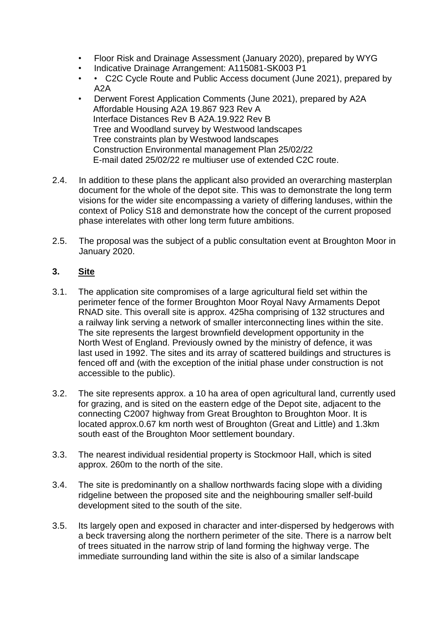- Floor Risk and Drainage Assessment (January 2020), prepared by WYG
- Indicative Drainage Arrangement: A115081-SK003 P1
- • C2C Cycle Route and Public Access document (June 2021), prepared by A2A
- Derwent Forest Application Comments (June 2021), prepared by A2A Affordable Housing A2A 19.867 923 Rev A Interface Distances Rev B A2A.19.922 Rev B Tree and Woodland survey by Westwood landscapes Tree constraints plan by Westwood landscapes Construction Environmental management Plan 25/02/22 E-mail dated 25/02/22 re multiuser use of extended C2C route.
- 2.4. In addition to these plans the applicant also provided an overarching masterplan document for the whole of the depot site. This was to demonstrate the long term visions for the wider site encompassing a variety of differing landuses, within the context of Policy S18 and demonstrate how the concept of the current proposed phase interelates with other long term future ambitions.
- 2.5. The proposal was the subject of a public consultation event at Broughton Moor in January 2020.

# **3. Site**

- 3.1. The application site compromises of a large agricultural field set within the perimeter fence of the former Broughton Moor Royal Navy Armaments Depot RNAD site. This overall site is approx. 425ha comprising of 132 structures and a railway link serving a network of smaller interconnecting lines within the site. The site represents the largest brownfield development opportunity in the North West of England. Previously owned by the ministry of defence, it was last used in 1992. The sites and its array of scattered buildings and structures is fenced off and (with the exception of the initial phase under construction is not accessible to the public).
- 3.2. The site represents approx. a 10 ha area of open agricultural land, currently used for grazing, and is sited on the eastern edge of the Depot site, adjacent to the connecting C2007 highway from Great Broughton to Broughton Moor. It is located approx.0.67 km north west of Broughton (Great and Little) and 1.3km south east of the Broughton Moor settlement boundary.
- 3.3. The nearest individual residential property is Stockmoor Hall, which is sited approx. 260m to the north of the site.
- 3.4. The site is predominantly on a shallow northwards facing slope with a dividing ridgeline between the proposed site and the neighbouring smaller self-build development sited to the south of the site.
- 3.5. Its largely open and exposed in character and inter-dispersed by hedgerows with a beck traversing along the northern perimeter of the site. There is a narrow belt of trees situated in the narrow strip of land forming the highway verge. The immediate surrounding land within the site is also of a similar landscape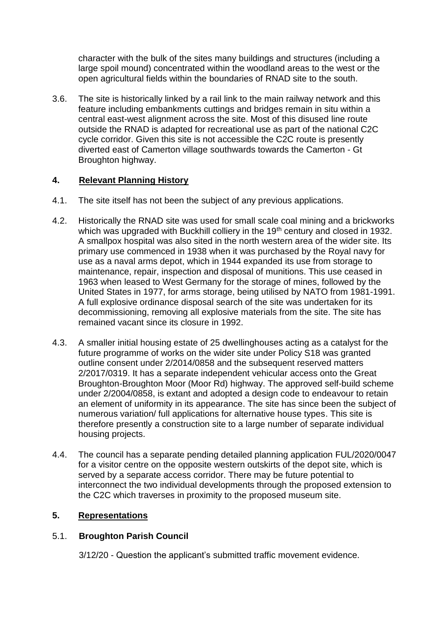character with the bulk of the sites many buildings and structures (including a large spoil mound) concentrated within the woodland areas to the west or the open agricultural fields within the boundaries of RNAD site to the south.

3.6. The site is historically linked by a rail link to the main railway network and this feature including embankments cuttings and bridges remain in situ within a central east-west alignment across the site. Most of this disused line route outside the RNAD is adapted for recreational use as part of the national C2C cycle corridor. Given this site is not accessible the C2C route is presently diverted east of Camerton village southwards towards the Camerton - Gt Broughton highway.

# **4. Relevant Planning History**

- 4.1. The site itself has not been the subject of any previous applications.
- 4.2. Historically the RNAD site was used for small scale coal mining and a brickworks which was upgraded with Buckhill colliery in the 19<sup>th</sup> century and closed in 1932. A smallpox hospital was also sited in the north western area of the wider site. Its primary use commenced in 1938 when it was purchased by the Royal navy for use as a naval arms depot, which in 1944 expanded its use from storage to maintenance, repair, inspection and disposal of munitions. This use ceased in 1963 when leased to West Germany for the storage of mines, followed by the United States in 1977, for arms storage, being utilised by NATO from 1981-1991. A full explosive ordinance disposal search of the site was undertaken for its decommissioning, removing all explosive materials from the site. The site has remained vacant since its closure in 1992.
- 4.3. A smaller initial housing estate of 25 dwellinghouses acting as a catalyst for the future programme of works on the wider site under Policy S18 was granted outline consent under 2/2014/0858 and the subsequent reserved matters 2/2017/0319. It has a separate independent vehicular access onto the Great Broughton-Broughton Moor (Moor Rd) highway. The approved self-build scheme under 2/2004/0858, is extant and adopted a design code to endeavour to retain an element of uniformity in its appearance. The site has since been the subject of numerous variation/ full applications for alternative house types. This site is therefore presently a construction site to a large number of separate individual housing projects.
- 4.4. The council has a separate pending detailed planning application FUL/2020/0047 for a visitor centre on the opposite western outskirts of the depot site, which is served by a separate access corridor. There may be future potential to interconnect the two individual developments through the proposed extension to the C2C which traverses in proximity to the proposed museum site.

# **5. Representations**

# 5.1. **Broughton Parish Council**

3/12/20 - Question the applicant's submitted traffic movement evidence.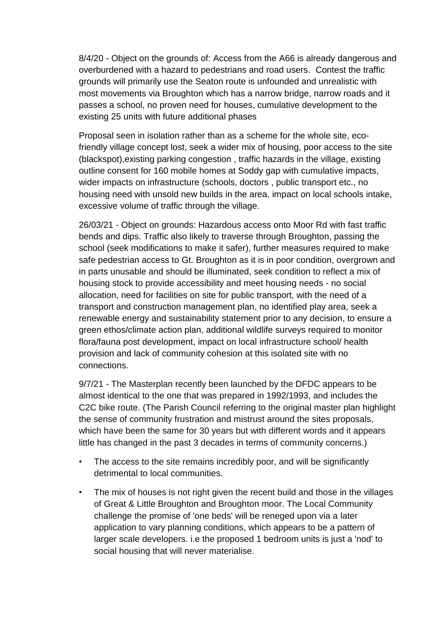8/4/20 - Object on the grounds of: Access from the A66 is already dangerous and overburdened with a hazard to pedestrians and road users. Contest the traffic grounds will primarily use the Seaton route is unfounded and unrealistic with most movements via Broughton which has a narrow bridge, narrow roads and it passes a school, no proven need for houses, cumulative development to the existing 25 units with future additional phases

Proposal seen in isolation rather than as a scheme for the whole site, ecofriendly village concept lost, seek a wider mix of housing, poor access to the site (blackspot),existing parking congestion , traffic hazards in the village, existing outline consent for 160 mobile homes at Soddy gap with cumulative impacts, wider impacts on infrastructure (schools, doctors , public transport etc., no housing need with unsold new builds in the area, impact on local schools intake, excessive volume of traffic through the village.

26/03/21 - Object on grounds: Hazardous access onto Moor Rd with fast traffic bends and dips. Traffic also likely to traverse through Broughton, passing the school (seek modifications to make it safer), further measures required to make safe pedestrian access to Gt. Broughton as it is in poor condition, overgrown and in parts unusable and should be illuminated, seek condition to reflect a mix of housing stock to provide accessibility and meet housing needs - no social allocation, need for facilities on site for public transport, with the need of a transport and construction management plan, no identified play area, seek a renewable energy and sustainability statement prior to any decision, to ensure a green ethos/climate action plan, additional wildlife surveys required to monitor flora/fauna post development, impact on local infrastructure school/ health provision and lack of community cohesion at this isolated site with no connections.

9/7/21 - The Masterplan recently been launched by the DFDC appears to be almost identical to the one that was prepared in 1992/1993, and includes the C2C bike route. (The Parish Council referring to the original master plan highlight the sense of community frustration and mistrust around the sites proposals, which have been the same for 30 years but with different words and it appears little has changed in the past 3 decades in terms of community concerns.)

- The access to the site remains incredibly poor, and will be significantly detrimental to local communities.
- The mix of houses is not right given the recent build and those in the villages of Great & Little Broughton and Broughton moor. The Local Community challenge the promise of 'one beds' will be reneged upon via a later application to vary planning conditions, which appears to be a pattern of larger scale developers. i.e the proposed 1 bedroom units is just a 'nod' to social housing that will never materialise.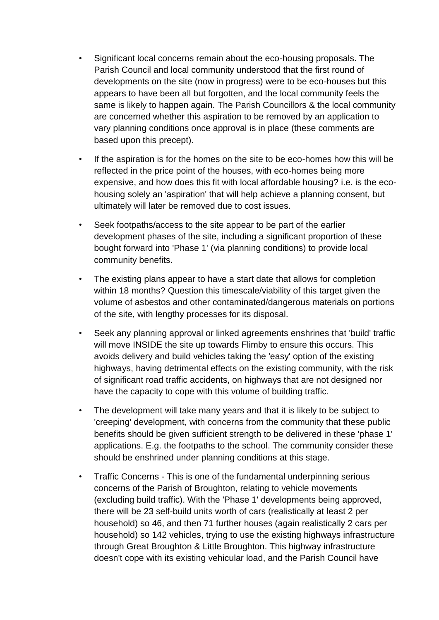- Significant local concerns remain about the eco-housing proposals. The Parish Council and local community understood that the first round of developments on the site (now in progress) were to be eco-houses but this appears to have been all but forgotten, and the local community feels the same is likely to happen again. The Parish Councillors & the local community are concerned whether this aspiration to be removed by an application to vary planning conditions once approval is in place (these comments are based upon this precept).
- If the aspiration is for the homes on the site to be eco-homes how this will be reflected in the price point of the houses, with eco-homes being more expensive, and how does this fit with local affordable housing? i.e. is the ecohousing solely an 'aspiration' that will help achieve a planning consent, but ultimately will later be removed due to cost issues.
- Seek footpaths/access to the site appear to be part of the earlier development phases of the site, including a significant proportion of these bought forward into 'Phase 1' (via planning conditions) to provide local community benefits.
- The existing plans appear to have a start date that allows for completion within 18 months? Question this timescale/viability of this target given the volume of asbestos and other contaminated/dangerous materials on portions of the site, with lengthy processes for its disposal.
- Seek any planning approval or linked agreements enshrines that 'build' traffic will move INSIDE the site up towards Flimby to ensure this occurs. This avoids delivery and build vehicles taking the 'easy' option of the existing highways, having detrimental effects on the existing community, with the risk of significant road traffic accidents, on highways that are not designed nor have the capacity to cope with this volume of building traffic.
- The development will take many years and that it is likely to be subject to 'creeping' development, with concerns from the community that these public benefits should be given sufficient strength to be delivered in these 'phase 1' applications. E.g. the footpaths to the school. The community consider these should be enshrined under planning conditions at this stage.
- Traffic Concerns This is one of the fundamental underpinning serious concerns of the Parish of Broughton, relating to vehicle movements (excluding build traffic). With the 'Phase 1' developments being approved, there will be 23 self-build units worth of cars (realistically at least 2 per household) so 46, and then 71 further houses (again realistically 2 cars per household) so 142 vehicles, trying to use the existing highways infrastructure through Great Broughton & Little Broughton. This highway infrastructure doesn't cope with its existing vehicular load, and the Parish Council have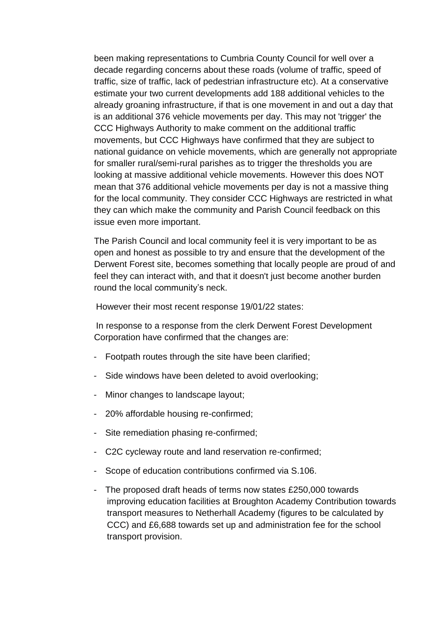been making representations to Cumbria County Council for well over a decade regarding concerns about these roads (volume of traffic, speed of traffic, size of traffic, lack of pedestrian infrastructure etc). At a conservative estimate your two current developments add 188 additional vehicles to the already groaning infrastructure, if that is one movement in and out a day that is an additional 376 vehicle movements per day. This may not 'trigger' the CCC Highways Authority to make comment on the additional traffic movements, but CCC Highways have confirmed that they are subject to national guidance on vehicle movements, which are generally not appropriate for smaller rural/semi-rural parishes as to trigger the thresholds you are looking at massive additional vehicle movements. However this does NOT mean that 376 additional vehicle movements per day is not a massive thing for the local community. They consider CCC Highways are restricted in what they can which make the community and Parish Council feedback on this issue even more important.

The Parish Council and local community feel it is very important to be as open and honest as possible to try and ensure that the development of the Derwent Forest site, becomes something that locally people are proud of and feel they can interact with, and that it doesn't just become another burden round the local community's neck.

However their most recent response 19/01/22 states:

 In response to a response from the clerk Derwent Forest Development Corporation have confirmed that the changes are:

- Footpath routes through the site have been clarified;
- Side windows have been deleted to avoid overlooking;
- Minor changes to landscape layout;
- 20% affordable housing re-confirmed;
- Site remediation phasing re-confirmed;
- C2C cycleway route and land reservation re-confirmed;
- Scope of education contributions confirmed via S.106.
- The proposed draft heads of terms now states £250,000 towards improving education facilities at Broughton Academy Contribution towards transport measures to Netherhall Academy (figures to be calculated by CCC) and £6,688 towards set up and administration fee for the school transport provision.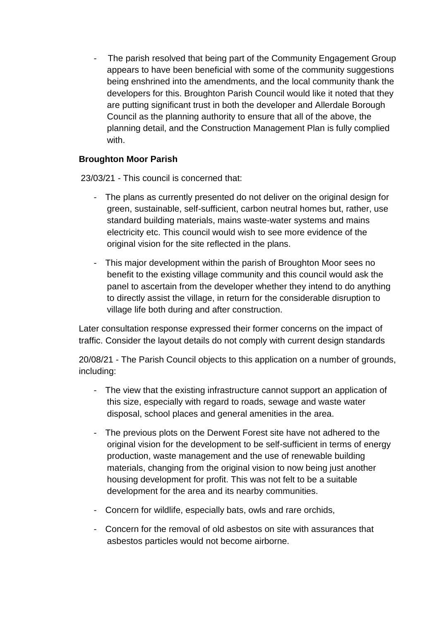The parish resolved that being part of the Community Engagement Group appears to have been beneficial with some of the community suggestions being enshrined into the amendments, and the local community thank the developers for this. Broughton Parish Council would like it noted that they are putting significant trust in both the developer and Allerdale Borough Council as the planning authority to ensure that all of the above, the planning detail, and the Construction Management Plan is fully complied with.

### **Broughton Moor Parish**

23/03/21 - This council is concerned that:

- The plans as currently presented do not deliver on the original design for green, sustainable, self-sufficient, carbon neutral homes but, rather, use standard building materials, mains waste-water systems and mains electricity etc. This council would wish to see more evidence of the original vision for the site reflected in the plans.
- This major development within the parish of Broughton Moor sees no benefit to the existing village community and this council would ask the panel to ascertain from the developer whether they intend to do anything to directly assist the village, in return for the considerable disruption to village life both during and after construction.

Later consultation response expressed their former concerns on the impact of traffic. Consider the layout details do not comply with current design standards

20/08/21 - The Parish Council objects to this application on a number of grounds, including:

- The view that the existing infrastructure cannot support an application of this size, especially with regard to roads, sewage and waste water disposal, school places and general amenities in the area.
- The previous plots on the Derwent Forest site have not adhered to the original vision for the development to be self-sufficient in terms of energy production, waste management and the use of renewable building materials, changing from the original vision to now being just another housing development for profit. This was not felt to be a suitable development for the area and its nearby communities.
- Concern for wildlife, especially bats, owls and rare orchids,
- Concern for the removal of old asbestos on site with assurances that asbestos particles would not become airborne.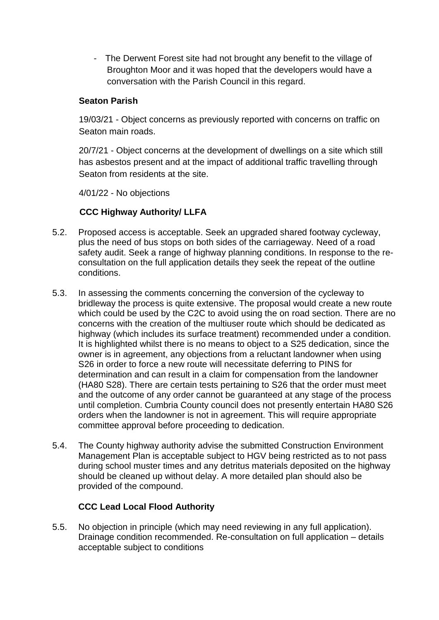- The Derwent Forest site had not brought any benefit to the village of Broughton Moor and it was hoped that the developers would have a conversation with the Parish Council in this regard.

### **Seaton Parish**

19/03/21 - Object concerns as previously reported with concerns on traffic on Seaton main roads.

20/7/21 - Object concerns at the development of dwellings on a site which still has asbestos present and at the impact of additional traffic travelling through Seaton from residents at the site.

4/01/22 - No objections

# **CCC Highway Authority/ LLFA**

- 5.2. Proposed access is acceptable. Seek an upgraded shared footway cycleway, plus the need of bus stops on both sides of the carriageway. Need of a road safety audit. Seek a range of highway planning conditions. In response to the reconsultation on the full application details they seek the repeat of the outline conditions.
- 5.3. In assessing the comments concerning the conversion of the cycleway to bridleway the process is quite extensive. The proposal would create a new route which could be used by the C2C to avoid using the on road section. There are no concerns with the creation of the multiuser route which should be dedicated as highway (which includes its surface treatment) recommended under a condition. It is highlighted whilst there is no means to object to a S25 dedication, since the owner is in agreement, any objections from a reluctant landowner when using S26 in order to force a new route will necessitate deferring to PINS for determination and can result in a claim for compensation from the landowner (HA80 S28). There are certain tests pertaining to S26 that the order must meet and the outcome of any order cannot be guaranteed at any stage of the process until completion. Cumbria County council does not presently entertain HA80 S26 orders when the landowner is not in agreement. This will require appropriate committee approval before proceeding to dedication.
- 5.4. The County highway authority advise the submitted Construction Environment Management Plan is acceptable subject to HGV being restricted as to not pass during school muster times and any detritus materials deposited on the highway should be cleaned up without delay. A more detailed plan should also be provided of the compound.

# **CCC Lead Local Flood Authority**

5.5. No objection in principle (which may need reviewing in any full application). Drainage condition recommended. Re-consultation on full application – details acceptable subject to conditions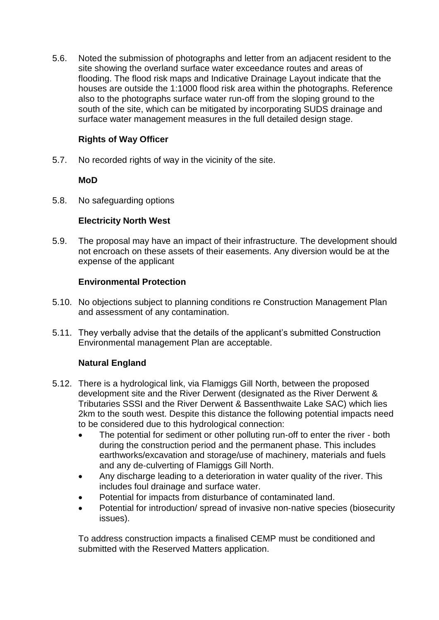5.6. Noted the submission of photographs and letter from an adjacent resident to the site showing the overland surface water exceedance routes and areas of flooding. The flood risk maps and Indicative Drainage Layout indicate that the houses are outside the 1:1000 flood risk area within the photographs. Reference also to the photographs surface water run-off from the sloping ground to the south of the site, which can be mitigated by incorporating SUDS drainage and surface water management measures in the full detailed design stage.

# **Rights of Way Officer**

5.7. No recorded rights of way in the vicinity of the site.

# **MoD**

5.8. No safeguarding options

# **Electricity North West**

5.9. The proposal may have an impact of their infrastructure. The development should not encroach on these assets of their easements. Any diversion would be at the expense of the applicant

# **Environmental Protection**

- 5.10. No objections subject to planning conditions re Construction Management Plan and assessment of any contamination.
- 5.11. They verbally advise that the details of the applicant's submitted Construction Environmental management Plan are acceptable.

# **Natural England**

- 5.12. There is a hydrological link, via Flamiggs Gill North, between the proposed development site and the River Derwent (designated as the River Derwent & Tributaries SSSI and the River Derwent & Bassenthwaite Lake SAC) which lies 2km to the south west. Despite this distance the following potential impacts need to be considered due to this hydrological connection:
	- The potential for sediment or other polluting run‐off to enter the river ‐ both during the construction period and the permanent phase. This includes earthworks/excavation and storage/use of machinery, materials and fuels and any de‐culverting of Flamiggs Gill North.
	- Any discharge leading to a deterioration in water quality of the river. This includes foul drainage and surface water.
	- Potential for impacts from disturbance of contaminated land.
	- Potential for introduction/ spread of invasive non‐native species (biosecurity issues).

To address construction impacts a finalised CEMP must be conditioned and submitted with the Reserved Matters application.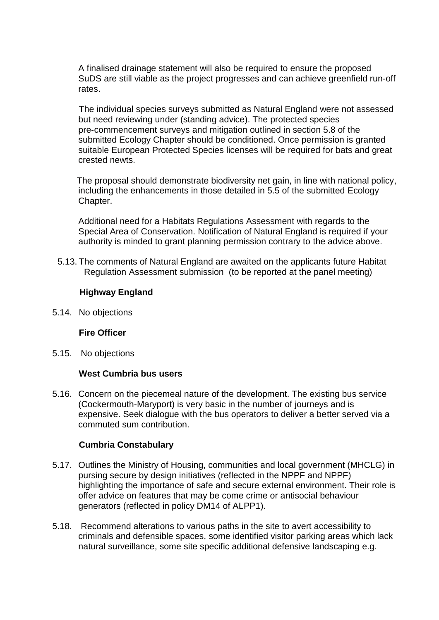A finalised drainage statement will also be required to ensure the proposed SuDS are still viable as the project progresses and can achieve greenfield run‐off rates.

The individual species surveys submitted as Natural England were not assessed but need reviewing under (standing advice). The protected species pre‐commencement surveys and mitigation outlined in section 5.8 of the submitted Ecology Chapter should be conditioned. Once permission is granted suitable European Protected Species licenses will be required for bats and great crested newts.

 The proposal should demonstrate biodiversity net gain, in line with national policy, including the enhancements in those detailed in 5.5 of the submitted Ecology Chapter.

Additional need for a Habitats Regulations Assessment with regards to the Special Area of Conservation. Notification of Natural England is required if your authority is minded to grant planning permission contrary to the advice above.

5.13. The comments of Natural England are awaited on the applicants future Habitat Regulation Assessment submission (to be reported at the panel meeting)

### **Highway England**

5.14. No objections

#### **Fire Officer**

5.15. No objections

#### **West Cumbria bus users**

5.16. Concern on the piecemeal nature of the development. The existing bus service (Cockermouth-Maryport) is very basic in the number of journeys and is expensive. Seek dialogue with the bus operators to deliver a better served via a commuted sum contribution.

#### **Cumbria Constabulary**

- 5.17. Outlines the Ministry of Housing, communities and local government (MHCLG) in pursing secure by design initiatives (reflected in the NPPF and NPPF) highlighting the importance of safe and secure external environment. Their role is offer advice on features that may be come crime or antisocial behaviour generators (reflected in policy DM14 of ALPP1).
- 5.18. Recommend alterations to various paths in the site to avert accessibility to criminals and defensible spaces, some identified visitor parking areas which lack natural surveillance, some site specific additional defensive landscaping e.g.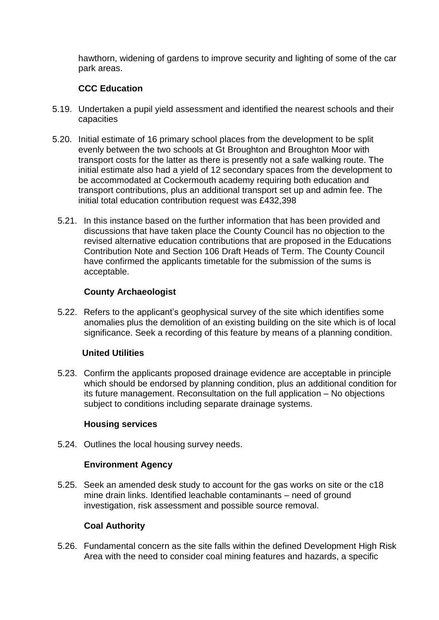hawthorn, widening of gardens to improve security and lighting of some of the car park areas.

# **CCC Education**

- 5.19. Undertaken a pupil yield assessment and identified the nearest schools and their capacities
- 5.20. Initial estimate of 16 primary school places from the development to be split evenly between the two schools at Gt Broughton and Broughton Moor with transport costs for the latter as there is presently not a safe walking route. The initial estimate also had a yield of 12 secondary spaces from the development to be accommodated at Cockermouth academy requiring both education and transport contributions, plus an additional transport set up and admin fee. The initial total education contribution request was £432,398
	- 5.21. In this instance based on the further information that has been provided and discussions that have taken place the County Council has no objection to the revised alternative education contributions that are proposed in the Educations Contribution Note and Section 106 Draft Heads of Term. The County Council have confirmed the applicants timetable for the submission of the sums is acceptable.

# **County Archaeologist**

5.22. Refers to the applicant's geophysical survey of the site which identifies some anomalies plus the demolition of an existing building on the site which is of local significance. Seek a recording of this feature by means of a planning condition.

#### **United Utilities**

5.23. Confirm the applicants proposed drainage evidence are acceptable in principle which should be endorsed by planning condition, plus an additional condition for its future management. Reconsultation on the full application – No objections subject to conditions including separate drainage systems.

#### **Housing services**

5.24. Outlines the local housing survey needs.

# **Environment Agency**

5.25. Seek an amended desk study to account for the gas works on site or the c18 mine drain links. Identified leachable contaminants – need of ground investigation, risk assessment and possible source removal.

# **Coal Authority**

5.26. Fundamental concern as the site falls within the defined Development High Risk Area with the need to consider coal mining features and hazards, a specific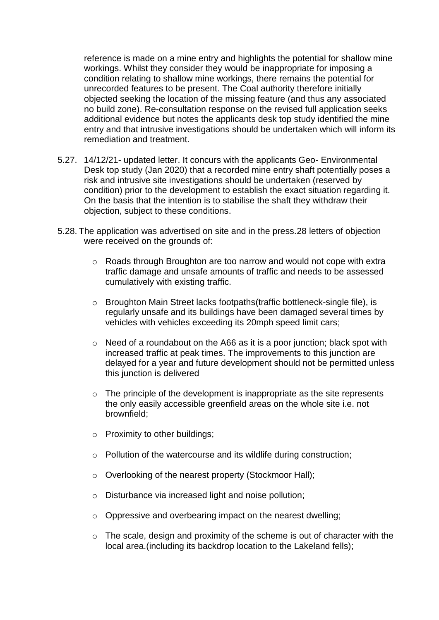reference is made on a mine entry and highlights the potential for shallow mine workings. Whilst they consider they would be inappropriate for imposing a condition relating to shallow mine workings, there remains the potential for unrecorded features to be present. The Coal authority therefore initially objected seeking the location of the missing feature (and thus any associated no build zone). Re-consultation response on the revised full application seeks additional evidence but notes the applicants desk top study identified the mine entry and that intrusive investigations should be undertaken which will inform its remediation and treatment.

- 5.27. 14/12/21- updated letter. It concurs with the applicants Geo- Environmental Desk top study (Jan 2020) that a recorded mine entry shaft potentially poses a risk and intrusive site investigations should be undertaken (reserved by condition) prior to the development to establish the exact situation regarding it. On the basis that the intention is to stabilise the shaft they withdraw their objection, subject to these conditions.
- 5.28. The application was advertised on site and in the press.28 letters of objection were received on the grounds of:
	- o Roads through Broughton are too narrow and would not cope with extra traffic damage and unsafe amounts of traffic and needs to be assessed cumulatively with existing traffic.
	- o Broughton Main Street lacks footpaths(traffic bottleneck-single file), is regularly unsafe and its buildings have been damaged several times by vehicles with vehicles exceeding its 20mph speed limit cars;
	- o Need of a roundabout on the A66 as it is a poor junction; black spot with increased traffic at peak times. The improvements to this junction are delayed for a year and future development should not be permitted unless this junction is delivered
	- $\circ$  The principle of the development is inappropriate as the site represents the only easily accessible greenfield areas on the whole site i.e. not brownfield;
	- o Proximity to other buildings;
	- o Pollution of the watercourse and its wildlife during construction;
	- o Overlooking of the nearest property (Stockmoor Hall);
	- o Disturbance via increased light and noise pollution;
	- o Oppressive and overbearing impact on the nearest dwelling;
	- o The scale, design and proximity of the scheme is out of character with the local area.(including its backdrop location to the Lakeland fells);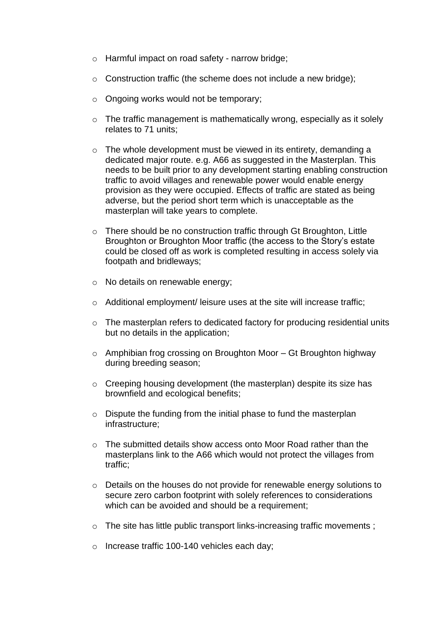- o Harmful impact on road safety narrow bridge;
- o Construction traffic (the scheme does not include a new bridge);
- o Ongoing works would not be temporary;
- o The traffic management is mathematically wrong, especially as it solely relates to 71 units;
- $\circ$  The whole development must be viewed in its entirety, demanding a dedicated major route. e.g. A66 as suggested in the Masterplan. This needs to be built prior to any development starting enabling construction traffic to avoid villages and renewable power would enable energy provision as they were occupied. Effects of traffic are stated as being adverse, but the period short term which is unacceptable as the masterplan will take years to complete.
- o There should be no construction traffic through Gt Broughton, Little Broughton or Broughton Moor traffic (the access to the Story's estate could be closed off as work is completed resulting in access solely via footpath and bridleways;
- o No details on renewable energy;
- o Additional employment/ leisure uses at the site will increase traffic;
- o The masterplan refers to dedicated factory for producing residential units but no details in the application;
- $\circ$  Amphibian frog crossing on Broughton Moor Gt Broughton highway during breeding season;
- o Creeping housing development (the masterplan) despite its size has brownfield and ecological benefits;
- $\circ$  Dispute the funding from the initial phase to fund the masterplan infrastructure;
- o The submitted details show access onto Moor Road rather than the masterplans link to the A66 which would not protect the villages from traffic;
- o Details on the houses do not provide for renewable energy solutions to secure zero carbon footprint with solely references to considerations which can be avoided and should be a requirement;
- o The site has little public transport links-increasing traffic movements ;
- o Increase traffic 100-140 vehicles each day;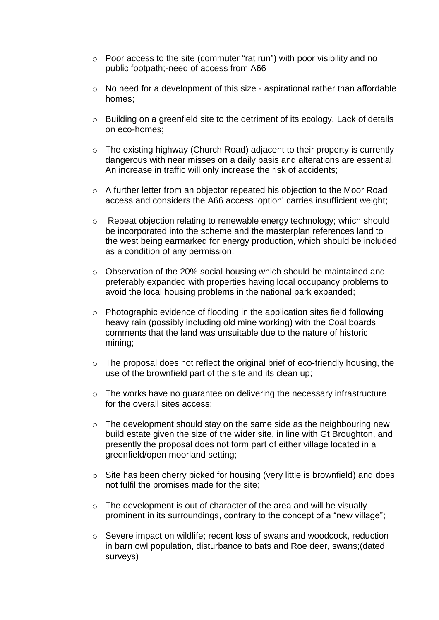- o Poor access to the site (commuter "rat run") with poor visibility and no public footpath;-need of access from A66
- o No need for a development of this size aspirational rather than affordable homes;
- o Building on a greenfield site to the detriment of its ecology. Lack of details on eco-homes;
- o The existing highway (Church Road) adjacent to their property is currently dangerous with near misses on a daily basis and alterations are essential. An increase in traffic will only increase the risk of accidents;
- $\circ$  A further letter from an objector repeated his objection to the Moor Road access and considers the A66 access 'option' carries insufficient weight;
- o Repeat objection relating to renewable energy technology; which should be incorporated into the scheme and the masterplan references land to the west being earmarked for energy production, which should be included as a condition of any permission;
- o Observation of the 20% social housing which should be maintained and preferably expanded with properties having local occupancy problems to avoid the local housing problems in the national park expanded;
- o Photographic evidence of flooding in the application sites field following heavy rain (possibly including old mine working) with the Coal boards comments that the land was unsuitable due to the nature of historic mining;
- $\circ$  The proposal does not reflect the original brief of eco-friendly housing, the use of the brownfield part of the site and its clean up;
- o The works have no guarantee on delivering the necessary infrastructure for the overall sites access;
- $\circ$  The development should stay on the same side as the neighbouring new build estate given the size of the wider site, in line with Gt Broughton, and presently the proposal does not form part of either village located in a greenfield/open moorland setting;
- o Site has been cherry picked for housing (very little is brownfield) and does not fulfil the promises made for the site;
- $\circ$  The development is out of character of the area and will be visually prominent in its surroundings, contrary to the concept of a "new village";
- o Severe impact on wildlife; recent loss of swans and woodcock, reduction in barn owl population, disturbance to bats and Roe deer, swans;(dated surveys)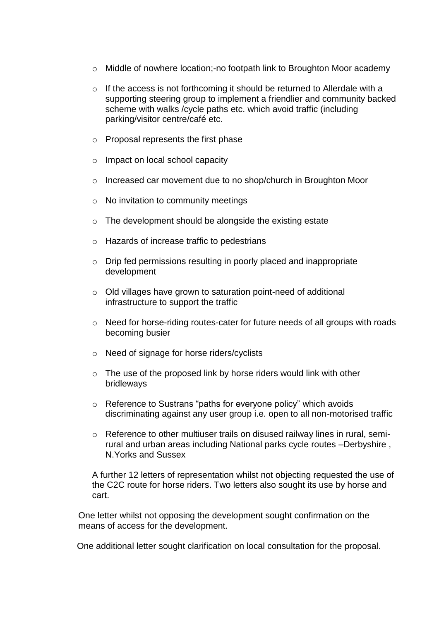- o Middle of nowhere location;-no footpath link to Broughton Moor academy
- o If the access is not forthcoming it should be returned to Allerdale with a supporting steering group to implement a friendlier and community backed scheme with walks /cycle paths etc. which avoid traffic (including parking/visitor centre/café etc.
- o Proposal represents the first phase
- o Impact on local school capacity
- o Increased car movement due to no shop/church in Broughton Moor
- $\circ$  No invitation to community meetings
- o The development should be alongside the existing estate
- o Hazards of increase traffic to pedestrians
- o Drip fed permissions resulting in poorly placed and inappropriate development
- o Old villages have grown to saturation point-need of additional infrastructure to support the traffic
- o Need for horse-riding routes-cater for future needs of all groups with roads becoming busier
- o Need of signage for horse riders/cyclists
- $\circ$  The use of the proposed link by horse riders would link with other bridleways
- o Reference to Sustrans "paths for everyone policy" which avoids discriminating against any user group i.e. open to all non-motorised traffic
- o Reference to other multiuser trails on disused railway lines in rural, semirural and urban areas including National parks cycle routes –Derbyshire , N.Yorks and Sussex

A further 12 letters of representation whilst not objecting requested the use of the C2C route for horse riders. Two letters also sought its use by horse and cart.

One letter whilst not opposing the development sought confirmation on the means of access for the development.

One additional letter sought clarification on local consultation for the proposal.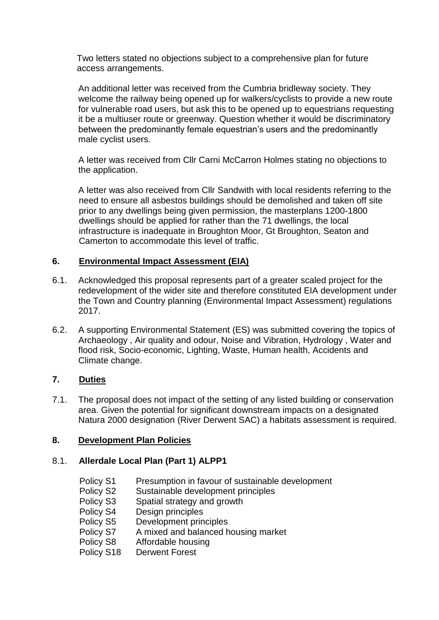Two letters stated no objections subject to a comprehensive plan for future access arrangements.

An additional letter was received from the Cumbria bridleway society. They welcome the railway being opened up for walkers/cyclists to provide a new route for vulnerable road users, but ask this to be opened up to equestrians requesting it be a multiuser route or greenway. Question whether it would be discriminatory between the predominantly female equestrian's users and the predominantly male cyclist users.

A letter was received from Cllr Carni McCarron Holmes stating no objections to the application.

A letter was also received from Cllr Sandwith with local residents referring to the need to ensure all asbestos buildings should be demolished and taken off site prior to any dwellings being given permission, the masterplans 1200-1800 dwellings should be applied for rather than the 71 dwellings, the local infrastructure is inadequate in Broughton Moor, Gt Broughton, Seaton and Camerton to accommodate this level of traffic.

# **6. Environmental Impact Assessment (EIA)**

- 6.1. Acknowledged this proposal represents part of a greater scaled project for the redevelopment of the wider site and therefore constituted EIA development under the Town and Country planning (Environmental Impact Assessment) regulations 2017.
- 6.2. A supporting Environmental Statement (ES) was submitted covering the topics of Archaeology , Air quality and odour, Noise and Vibration, Hydrology , Water and flood risk, Socio-economic, Lighting, Waste, Human health, Accidents and Climate change.

# **7. Duties**

7.1. The proposal does not impact of the setting of any listed building or conservation area. Given the potential for significant downstream impacts on a designated Natura 2000 designation (River Derwent SAC) a habitats assessment is required.

# **8. Development Plan Policies**

# 8.1. **Allerdale Local Plan (Part 1) ALPP1**

- Policy S1 Presumption in favour of sustainable development
- Policy S2 Sustainable development principles
- Policy S3 Spatial strategy and growth
- Policy S4 Design principles
- Policy S5 Development principles
- Policy S7 A mixed and balanced housing market
- Policy S8 Affordable housing
- Policy S18 Derwent Forest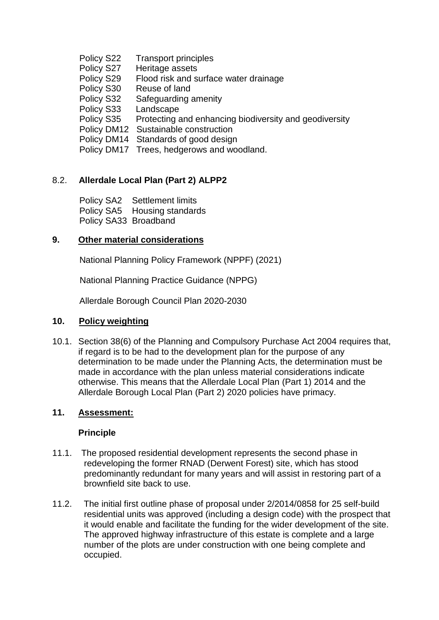Policy S22 Transport principles Policy S27 Heritage assets Policy S29 Flood risk and surface water drainage Policy S30 Reuse of land Policy S32 Safeguarding amenity Policy S33 Landscape Policy S35 Protecting and enhancing biodiversity and geodiversity Policy DM12 Sustainable construction Policy DM14 Standards of good design Policy DM17 Trees, hedgerows and woodland.

# 8.2. **Allerdale Local Plan (Part 2) ALPP2**

 Policy SA2 Settlement limits Policy SA5 Housing standards Policy SA33 Broadband

# **9. Other material considerations**

National Planning Policy Framework (NPPF) (2021)

National Planning Practice Guidance (NPPG)

Allerdale Borough Council Plan 2020-2030

# **10. Policy weighting**

10.1. Section 38(6) of the Planning and Compulsory Purchase Act 2004 requires that, if regard is to be had to the development plan for the purpose of any determination to be made under the Planning Acts, the determination must be made in accordance with the plan unless material considerations indicate otherwise. This means that the Allerdale Local Plan (Part 1) 2014 and the Allerdale Borough Local Plan (Part 2) 2020 policies have primacy.

# **11. Assessment:**

#### **Principle**

- 11.1. The proposed residential development represents the second phase in redeveloping the former RNAD (Derwent Forest) site, which has stood predominantly redundant for many years and will assist in restoring part of a brownfield site back to use.
- 11.2. The initial first outline phase of proposal under 2/2014/0858 for 25 self-build residential units was approved (including a design code) with the prospect that it would enable and facilitate the funding for the wider development of the site. The approved highway infrastructure of this estate is complete and a large number of the plots are under construction with one being complete and occupied.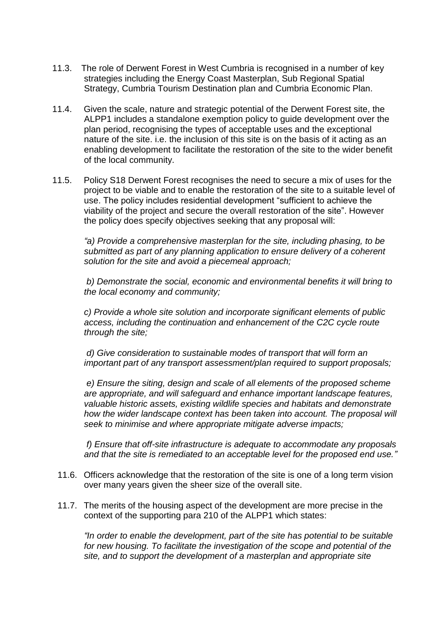- 11.3. The role of Derwent Forest in West Cumbria is recognised in a number of key strategies including the Energy Coast Masterplan, Sub Regional Spatial Strategy, Cumbria Tourism Destination plan and Cumbria Economic Plan.
- 11.4. Given the scale, nature and strategic potential of the Derwent Forest site, the ALPP1 includes a standalone exemption policy to guide development over the plan period, recognising the types of acceptable uses and the exceptional nature of the site. i.e. the inclusion of this site is on the basis of it acting as an enabling development to facilitate the restoration of the site to the wider benefit of the local community.
- 11.5. Policy S18 Derwent Forest recognises the need to secure a mix of uses for the project to be viable and to enable the restoration of the site to a suitable level of use. The policy includes residential development "sufficient to achieve the viability of the project and secure the overall restoration of the site". However the policy does specify objectives seeking that any proposal will:

*"a) Provide a comprehensive masterplan for the site, including phasing, to be submitted as part of any planning application to ensure delivery of a coherent solution for the site and avoid a piecemeal approach;*

*b) Demonstrate the social, economic and environmental benefits it will bring to the local economy and community;*

*c) Provide a whole site solution and incorporate significant elements of public access, including the continuation and enhancement of the C2C cycle route through the site;*

*d) Give consideration to sustainable modes of transport that will form an important part of any transport assessment/plan required to support proposals;*

*e) Ensure the siting, design and scale of all elements of the proposed scheme are appropriate, and will safeguard and enhance important landscape features, valuable historic assets, existing wildlife species and habitats and demonstrate how the wider landscape context has been taken into account. The proposal will seek to minimise and where appropriate mitigate adverse impacts;*

*f) Ensure that off-site infrastructure is adequate to accommodate any proposals and that the site is remediated to an acceptable level for the proposed end use."*

- 11.6. Officers acknowledge that the restoration of the site is one of a long term vision over many years given the sheer size of the overall site.
- 11.7. The merits of the housing aspect of the development are more precise in the context of the supporting para 210 of the ALPP1 which states:

*"In order to enable the development, part of the site has potential to be suitable*  for new housing. To facilitate the investigation of the scope and potential of the *site, and to support the development of a masterplan and appropriate site*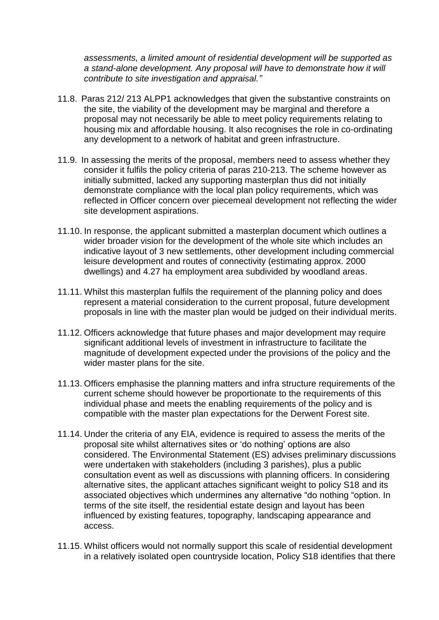*assessments, a limited amount of residential development will be supported as a stand-alone development. Any proposal will have to demonstrate how it will contribute to site investigation and appraisal."*

- 11.8. Paras 212/ 213 ALPP1 acknowledges that given the substantive constraints on the site, the viability of the development may be marginal and therefore a proposal may not necessarily be able to meet policy requirements relating to housing mix and affordable housing. It also recognises the role in co-ordinating any development to a network of habitat and green infrastructure.
- 11.9. In assessing the merits of the proposal, members need to assess whether they consider it fulfils the policy criteria of paras 210-213. The scheme however as initially submitted, lacked any supporting masterplan thus did not initially demonstrate compliance with the local plan policy requirements, which was reflected in Officer concern over piecemeal development not reflecting the wider site development aspirations.
- 11.10. In response, the applicant submitted a masterplan document which outlines a wider broader vision for the development of the whole site which includes an indicative layout of 3 new settlements, other development including commercial leisure development and routes of connectivity (estimating approx. 2000 dwellings) and 4.27 ha employment area subdivided by woodland areas.
- 11.11. Whilst this masterplan fulfils the requirement of the planning policy and does represent a material consideration to the current proposal, future development proposals in line with the master plan would be judged on their individual merits.
- 11.12. Officers acknowledge that future phases and major development may require significant additional levels of investment in infrastructure to facilitate the magnitude of development expected under the provisions of the policy and the wider master plans for the site.
- 11.13. Officers emphasise the planning matters and infra structure requirements of the current scheme should however be proportionate to the requirements of this individual phase and meets the enabling requirements of the policy and is compatible with the master plan expectations for the Derwent Forest site.
- 11.14. Under the criteria of any EIA, evidence is required to assess the merits of the proposal site whilst alternatives sites or 'do nothing' options are also considered. The Environmental Statement (ES) advises preliminary discussions were undertaken with stakeholders (including 3 parishes), plus a public consultation event as well as discussions with planning officers. In considering alternative sites, the applicant attaches significant weight to policy S18 and its associated objectives which undermines any alternative "do nothing "option. In terms of the site itself, the residential estate design and layout has been influenced by existing features, topography, landscaping appearance and access.
- 11.15. Whilst officers would not normally support this scale of residential development in a relatively isolated open countryside location, Policy S18 identifies that there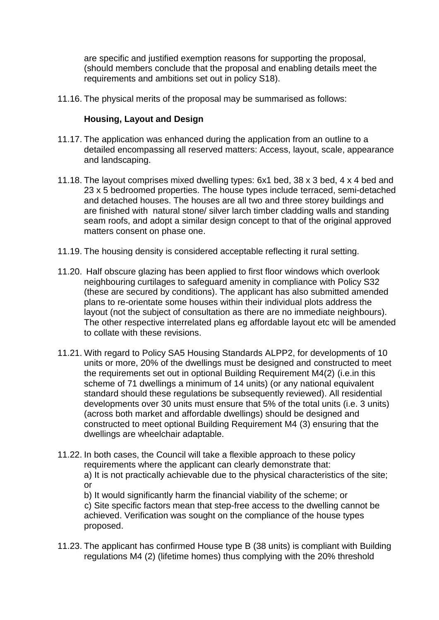are specific and justified exemption reasons for supporting the proposal, (should members conclude that the proposal and enabling details meet the requirements and ambitions set out in policy S18).

11.16. The physical merits of the proposal may be summarised as follows:

#### **Housing, Layout and Design**

- 11.17. The application was enhanced during the application from an outline to a detailed encompassing all reserved matters: Access, layout, scale, appearance and landscaping.
- 11.18. The layout comprises mixed dwelling types: 6x1 bed, 38 x 3 bed, 4 x 4 bed and 23 x 5 bedroomed properties. The house types include terraced, semi-detached and detached houses. The houses are all two and three storey buildings and are finished with natural stone/ silver larch timber cladding walls and standing seam roofs, and adopt a similar design concept to that of the original approved matters consent on phase one.
- 11.19. The housing density is considered acceptable reflecting it rural setting.
- 11.20. Half obscure glazing has been applied to first floor windows which overlook neighbouring curtilages to safeguard amenity in compliance with Policy S32 (these are secured by conditions). The applicant has also submitted amended plans to re-orientate some houses within their individual plots address the layout (not the subject of consultation as there are no immediate neighbours). The other respective interrelated plans eg affordable layout etc will be amended to collate with these revisions.
- 11.21. With regard to Policy SA5 Housing Standards ALPP2, for developments of 10 units or more, 20% of the dwellings must be designed and constructed to meet the requirements set out in optional Building Requirement M4(2) (i.e.in this scheme of 71 dwellings a minimum of 14 units) (or any national equivalent standard should these regulations be subsequently reviewed). All residential developments over 30 units must ensure that 5% of the total units (i.e. 3 units) (across both market and affordable dwellings) should be designed and constructed to meet optional Building Requirement M4 (3) ensuring that the dwellings are wheelchair adaptable.
- 11.22. In both cases, the Council will take a flexible approach to these policy requirements where the applicant can clearly demonstrate that: a) It is not practically achievable due to the physical characteristics of the site; or

b) It would significantly harm the financial viability of the scheme; or c) Site specific factors mean that step-free access to the dwelling cannot be achieved. Verification was sought on the compliance of the house types proposed.

11.23. The applicant has confirmed House type B (38 units) is compliant with Building regulations M4 (2) (lifetime homes) thus complying with the 20% threshold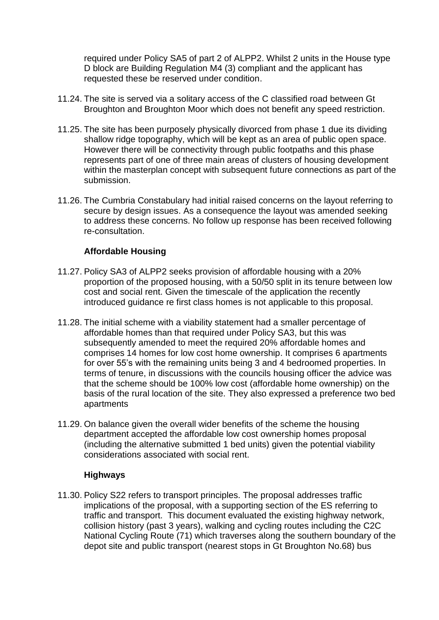required under Policy SA5 of part 2 of ALPP2. Whilst 2 units in the House type D block are Building Regulation M4 (3) compliant and the applicant has requested these be reserved under condition.

- 11.24. The site is served via a solitary access of the C classified road between Gt Broughton and Broughton Moor which does not benefit any speed restriction.
- 11.25. The site has been purposely physically divorced from phase 1 due its dividing shallow ridge topography, which will be kept as an area of public open space. However there will be connectivity through public footpaths and this phase represents part of one of three main areas of clusters of housing development within the masterplan concept with subsequent future connections as part of the submission.
- 11.26. The Cumbria Constabulary had initial raised concerns on the layout referring to secure by design issues. As a consequence the layout was amended seeking to address these concerns. No follow up response has been received following re-consultation.

### **Affordable Housing**

- 11.27. Policy SA3 of ALPP2 seeks provision of affordable housing with a 20% proportion of the proposed housing, with a 50/50 split in its tenure between low cost and social rent. Given the timescale of the application the recently introduced guidance re first class homes is not applicable to this proposal.
- 11.28. The initial scheme with a viability statement had a smaller percentage of affordable homes than that required under Policy SA3, but this was subsequently amended to meet the required 20% affordable homes and comprises 14 homes for low cost home ownership. It comprises 6 apartments for over 55's with the remaining units being 3 and 4 bedroomed properties. In terms of tenure, in discussions with the councils housing officer the advice was that the scheme should be 100% low cost (affordable home ownership) on the basis of the rural location of the site. They also expressed a preference two bed apartments
- 11.29. On balance given the overall wider benefits of the scheme the housing department accepted the affordable low cost ownership homes proposal (including the alternative submitted 1 bed units) given the potential viability considerations associated with social rent.

#### **Highways**

11.30. Policy S22 refers to transport principles. The proposal addresses traffic implications of the proposal, with a supporting section of the ES referring to traffic and transport. This document evaluated the existing highway network, collision history (past 3 years), walking and cycling routes including the C2C National Cycling Route (71) which traverses along the southern boundary of the depot site and public transport (nearest stops in Gt Broughton No.68) bus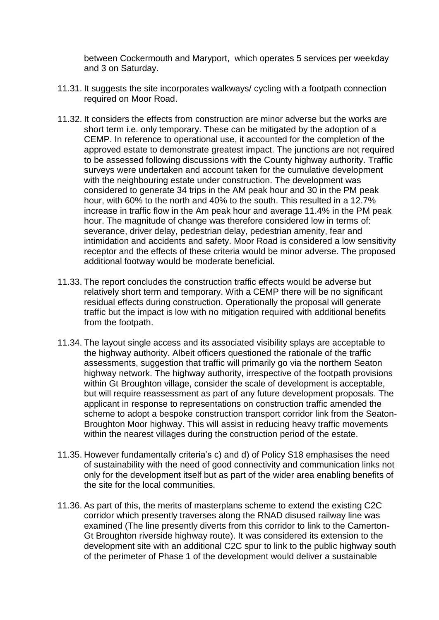between Cockermouth and Maryport, which operates 5 services per weekday and 3 on Saturday.

- 11.31. It suggests the site incorporates walkways/ cycling with a footpath connection required on Moor Road.
- 11.32. It considers the effects from construction are minor adverse but the works are short term i.e. only temporary. These can be mitigated by the adoption of a CEMP. In reference to operational use, it accounted for the completion of the approved estate to demonstrate greatest impact. The junctions are not required to be assessed following discussions with the County highway authority. Traffic surveys were undertaken and account taken for the cumulative development with the neighbouring estate under construction. The development was considered to generate 34 trips in the AM peak hour and 30 in the PM peak hour, with 60% to the north and 40% to the south. This resulted in a 12.7% increase in traffic flow in the Am peak hour and average 11.4% in the PM peak hour. The magnitude of change was therefore considered low in terms of: severance, driver delay, pedestrian delay, pedestrian amenity, fear and intimidation and accidents and safety. Moor Road is considered a low sensitivity receptor and the effects of these criteria would be minor adverse. The proposed additional footway would be moderate beneficial.
- 11.33. The report concludes the construction traffic effects would be adverse but relatively short term and temporary. With a CEMP there will be no significant residual effects during construction. Operationally the proposal will generate traffic but the impact is low with no mitigation required with additional benefits from the footpath.
- 11.34. The layout single access and its associated visibility splays are acceptable to the highway authority. Albeit officers questioned the rationale of the traffic assessments, suggestion that traffic will primarily go via the northern Seaton highway network. The highway authority, irrespective of the footpath provisions within Gt Broughton village, consider the scale of development is acceptable, but will require reassessment as part of any future development proposals. The applicant in response to representations on construction traffic amended the scheme to adopt a bespoke construction transport corridor link from the Seaton-Broughton Moor highway. This will assist in reducing heavy traffic movements within the nearest villages during the construction period of the estate.
- 11.35. However fundamentally criteria's c) and d) of Policy S18 emphasises the need of sustainability with the need of good connectivity and communication links not only for the development itself but as part of the wider area enabling benefits of the site for the local communities.
- 11.36. As part of this, the merits of masterplans scheme to extend the existing C2C corridor which presently traverses along the RNAD disused railway line was examined (The line presently diverts from this corridor to link to the Camerton-Gt Broughton riverside highway route). It was considered its extension to the development site with an additional C2C spur to link to the public highway south of the perimeter of Phase 1 of the development would deliver a sustainable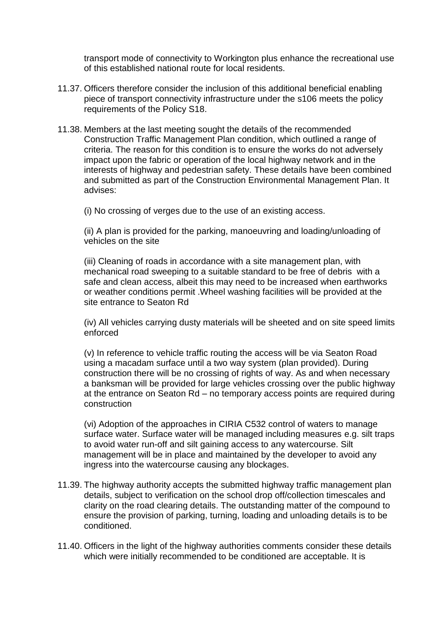transport mode of connectivity to Workington plus enhance the recreational use of this established national route for local residents.

- 11.37. Officers therefore consider the inclusion of this additional beneficial enabling piece of transport connectivity infrastructure under the s106 meets the policy requirements of the Policy S18.
- 11.38. Members at the last meeting sought the details of the recommended Construction Traffic Management Plan condition, which outlined a range of criteria. The reason for this condition is to ensure the works do not adversely impact upon the fabric or operation of the local highway network and in the interests of highway and pedestrian safety. These details have been combined and submitted as part of the Construction Environmental Management Plan. It advises:

(i) No crossing of verges due to the use of an existing access.

(ii) A plan is provided for the parking, manoeuvring and loading/unloading of vehicles on the site

(iii) Cleaning of roads in accordance with a site management plan, with mechanical road sweeping to a suitable standard to be free of debris with a safe and clean access, albeit this may need to be increased when earthworks or weather conditions permit .Wheel washing facilities will be provided at the site entrance to Seaton Rd

(iv) All vehicles carrying dusty materials will be sheeted and on site speed limits enforced

(v) In reference to vehicle traffic routing the access will be via Seaton Road using a macadam surface until a two way system (plan provided). During construction there will be no crossing of rights of way. As and when necessary a banksman will be provided for large vehicles crossing over the public highway at the entrance on Seaton Rd – no temporary access points are required during construction

(vi) Adoption of the approaches in CIRIA C532 control of waters to manage surface water. Surface water will be managed including measures e.g. silt traps to avoid water run-off and silt gaining access to any watercourse. Silt management will be in place and maintained by the developer to avoid any ingress into the watercourse causing any blockages.

- 11.39. The highway authority accepts the submitted highway traffic management plan details, subject to verification on the school drop off/collection timescales and clarity on the road clearing details. The outstanding matter of the compound to ensure the provision of parking, turning, loading and unloading details is to be conditioned.
- 11.40. Officers in the light of the highway authorities comments consider these details which were initially recommended to be conditioned are acceptable. It is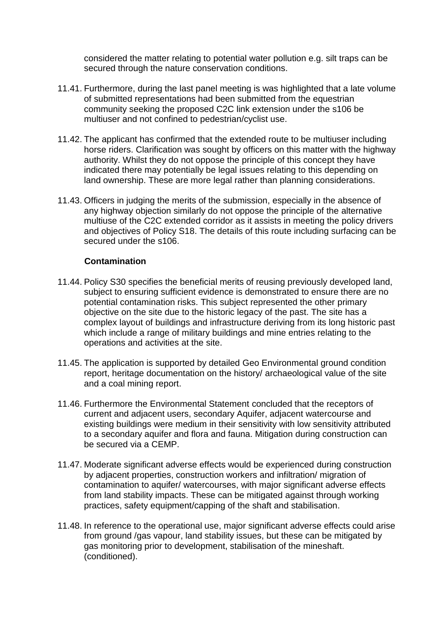considered the matter relating to potential water pollution e.g. silt traps can be secured through the nature conservation conditions.

- 11.41. Furthermore, during the last panel meeting is was highlighted that a late volume of submitted representations had been submitted from the equestrian community seeking the proposed C2C link extension under the s106 be multiuser and not confined to pedestrian/cyclist use.
- 11.42. The applicant has confirmed that the extended route to be multiuser including horse riders. Clarification was sought by officers on this matter with the highway authority. Whilst they do not oppose the principle of this concept they have indicated there may potentially be legal issues relating to this depending on land ownership. These are more legal rather than planning considerations.
- 11.43. Officers in judging the merits of the submission, especially in the absence of any highway objection similarly do not oppose the principle of the alternative multiuse of the C2C extended corridor as it assists in meeting the policy drivers and objectives of Policy S18. The details of this route including surfacing can be secured under the s106.

### **Contamination**

- 11.44. Policy S30 specifies the beneficial merits of reusing previously developed land, subject to ensuring sufficient evidence is demonstrated to ensure there are no potential contamination risks. This subject represented the other primary objective on the site due to the historic legacy of the past. The site has a complex layout of buildings and infrastructure deriving from its long historic past which include a range of military buildings and mine entries relating to the operations and activities at the site.
- 11.45. The application is supported by detailed Geo Environmental ground condition report, heritage documentation on the history/ archaeological value of the site and a coal mining report.
- 11.46. Furthermore the Environmental Statement concluded that the receptors of current and adjacent users, secondary Aquifer, adjacent watercourse and existing buildings were medium in their sensitivity with low sensitivity attributed to a secondary aquifer and flora and fauna. Mitigation during construction can be secured via a CEMP.
- 11.47. Moderate significant adverse effects would be experienced during construction by adjacent properties, construction workers and infiltration/ migration of contamination to aquifer/ watercourses, with major significant adverse effects from land stability impacts. These can be mitigated against through working practices, safety equipment/capping of the shaft and stabilisation.
- 11.48. In reference to the operational use, major significant adverse effects could arise from ground /gas vapour, land stability issues, but these can be mitigated by gas monitoring prior to development, stabilisation of the mineshaft. (conditioned).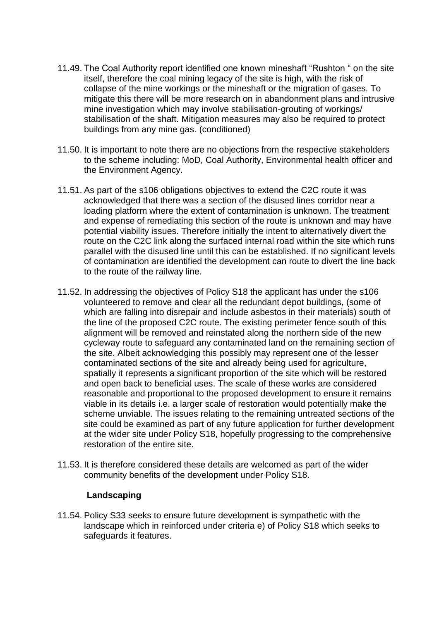- 11.49. The Coal Authority report identified one known mineshaft "Rushton " on the site itself, therefore the coal mining legacy of the site is high, with the risk of collapse of the mine workings or the mineshaft or the migration of gases. To mitigate this there will be more research on in abandonment plans and intrusive mine investigation which may involve stabilisation-grouting of workings/ stabilisation of the shaft. Mitigation measures may also be required to protect buildings from any mine gas. (conditioned)
- 11.50. It is important to note there are no objections from the respective stakeholders to the scheme including: MoD, Coal Authority, Environmental health officer and the Environment Agency.
- 11.51. As part of the s106 obligations objectives to extend the C2C route it was acknowledged that there was a section of the disused lines corridor near a loading platform where the extent of contamination is unknown. The treatment and expense of remediating this section of the route is unknown and may have potential viability issues. Therefore initially the intent to alternatively divert the route on the C2C link along the surfaced internal road within the site which runs parallel with the disused line until this can be established. If no significant levels of contamination are identified the development can route to divert the line back to the route of the railway line.
- 11.52. In addressing the objectives of Policy S18 the applicant has under the s106 volunteered to remove and clear all the redundant depot buildings, (some of which are falling into disrepair and include asbestos in their materials) south of the line of the proposed C2C route. The existing perimeter fence south of this alignment will be removed and reinstated along the northern side of the new cycleway route to safeguard any contaminated land on the remaining section of the site. Albeit acknowledging this possibly may represent one of the lesser contaminated sections of the site and already being used for agriculture, spatially it represents a significant proportion of the site which will be restored and open back to beneficial uses. The scale of these works are considered reasonable and proportional to the proposed development to ensure it remains viable in its details i.e. a larger scale of restoration would potentially make the scheme unviable. The issues relating to the remaining untreated sections of the site could be examined as part of any future application for further development at the wider site under Policy S18, hopefully progressing to the comprehensive restoration of the entire site.
- 11.53. It is therefore considered these details are welcomed as part of the wider community benefits of the development under Policy S18.

#### **Landscaping**

11.54. Policy S33 seeks to ensure future development is sympathetic with the landscape which in reinforced under criteria e) of Policy S18 which seeks to safeguards it features.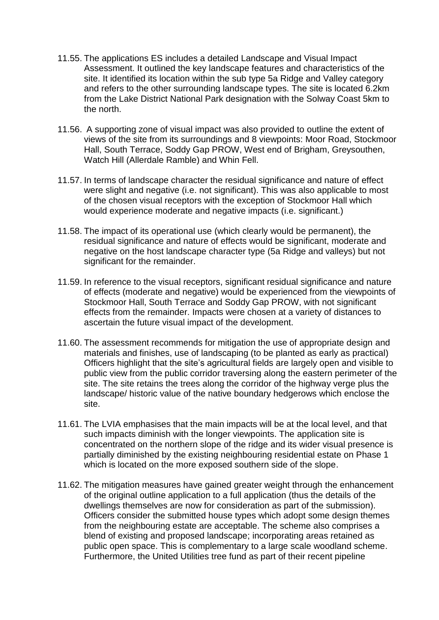- 11.55. The applications ES includes a detailed Landscape and Visual Impact Assessment. It outlined the key landscape features and characteristics of the site. It identified its location within the sub type 5a Ridge and Valley category and refers to the other surrounding landscape types. The site is located 6.2km from the Lake District National Park designation with the Solway Coast 5km to the north.
- 11.56. A supporting zone of visual impact was also provided to outline the extent of views of the site from its surroundings and 8 viewpoints: Moor Road, Stockmoor Hall, South Terrace, Soddy Gap PROW, West end of Brigham, Greysouthen, Watch Hill (Allerdale Ramble) and Whin Fell.
- 11.57. In terms of landscape character the residual significance and nature of effect were slight and negative (i.e. not significant). This was also applicable to most of the chosen visual receptors with the exception of Stockmoor Hall which would experience moderate and negative impacts (i.e. significant.)
- 11.58. The impact of its operational use (which clearly would be permanent), the residual significance and nature of effects would be significant, moderate and negative on the host landscape character type (5a Ridge and valleys) but not significant for the remainder.
- 11.59. In reference to the visual receptors, significant residual significance and nature of effects (moderate and negative) would be experienced from the viewpoints of Stockmoor Hall, South Terrace and Soddy Gap PROW, with not significant effects from the remainder. Impacts were chosen at a variety of distances to ascertain the future visual impact of the development.
- 11.60. The assessment recommends for mitigation the use of appropriate design and materials and finishes, use of landscaping (to be planted as early as practical) Officers highlight that the site's agricultural fields are largely open and visible to public view from the public corridor traversing along the eastern perimeter of the site. The site retains the trees along the corridor of the highway verge plus the landscape/ historic value of the native boundary hedgerows which enclose the site.
- 11.61. The LVIA emphasises that the main impacts will be at the local level, and that such impacts diminish with the longer viewpoints. The application site is concentrated on the northern slope of the ridge and its wider visual presence is partially diminished by the existing neighbouring residential estate on Phase 1 which is located on the more exposed southern side of the slope.
- 11.62. The mitigation measures have gained greater weight through the enhancement of the original outline application to a full application (thus the details of the dwellings themselves are now for consideration as part of the submission). Officers consider the submitted house types which adopt some design themes from the neighbouring estate are acceptable. The scheme also comprises a blend of existing and proposed landscape; incorporating areas retained as public open space. This is complementary to a large scale woodland scheme. Furthermore, the United Utilities tree fund as part of their recent pipeline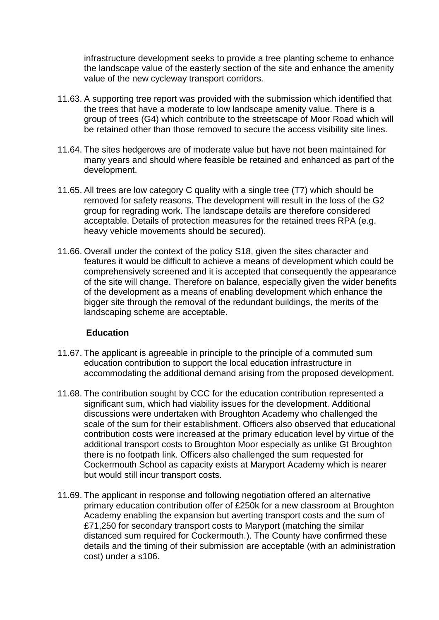infrastructure development seeks to provide a tree planting scheme to enhance the landscape value of the easterly section of the site and enhance the amenity value of the new cycleway transport corridors.

- 11.63. A supporting tree report was provided with the submission which identified that the trees that have a moderate to low landscape amenity value. There is a group of trees (G4) which contribute to the streetscape of Moor Road which will be retained other than those removed to secure the access visibility site lines.
- 11.64. The sites hedgerows are of moderate value but have not been maintained for many years and should where feasible be retained and enhanced as part of the development.
- 11.65. All trees are low category C quality with a single tree (T7) which should be removed for safety reasons. The development will result in the loss of the G2 group for regrading work. The landscape details are therefore considered acceptable. Details of protection measures for the retained trees RPA (e.g. heavy vehicle movements should be secured).
- 11.66. Overall under the context of the policy S18, given the sites character and features it would be difficult to achieve a means of development which could be comprehensively screened and it is accepted that consequently the appearance of the site will change. Therefore on balance, especially given the wider benefits of the development as a means of enabling development which enhance the bigger site through the removal of the redundant buildings, the merits of the landscaping scheme are acceptable.

#### **Education**

- 11.67. The applicant is agreeable in principle to the principle of a commuted sum education contribution to support the local education infrastructure in accommodating the additional demand arising from the proposed development.
- 11.68. The contribution sought by CCC for the education contribution represented a significant sum, which had viability issues for the development. Additional discussions were undertaken with Broughton Academy who challenged the scale of the sum for their establishment. Officers also observed that educational contribution costs were increased at the primary education level by virtue of the additional transport costs to Broughton Moor especially as unlike Gt Broughton there is no footpath link. Officers also challenged the sum requested for Cockermouth School as capacity exists at Maryport Academy which is nearer but would still incur transport costs.
- 11.69. The applicant in response and following negotiation offered an alternative primary education contribution offer of £250k for a new classroom at Broughton Academy enabling the expansion but averting transport costs and the sum of £71,250 for secondary transport costs to Maryport (matching the similar distanced sum required for Cockermouth.). The County have confirmed these details and the timing of their submission are acceptable (with an administration cost) under a s106.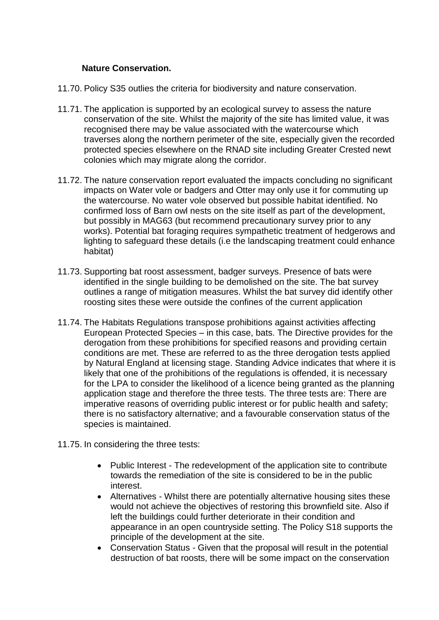#### **Nature Conservation.**

- 11.70. Policy S35 outlies the criteria for biodiversity and nature conservation.
- 11.71. The application is supported by an ecological survey to assess the nature conservation of the site. Whilst the majority of the site has limited value, it was recognised there may be value associated with the watercourse which traverses along the northern perimeter of the site, especially given the recorded protected species elsewhere on the RNAD site including Greater Crested newt colonies which may migrate along the corridor.
- 11.72. The nature conservation report evaluated the impacts concluding no significant impacts on Water vole or badgers and Otter may only use it for commuting up the watercourse. No water vole observed but possible habitat identified. No confirmed loss of Barn owl nests on the site itself as part of the development, but possibly in MAG63 (but recommend precautionary survey prior to any works). Potential bat foraging requires sympathetic treatment of hedgerows and lighting to safeguard these details (i.e the landscaping treatment could enhance habitat)
- 11.73. Supporting bat roost assessment, badger surveys. Presence of bats were identified in the single building to be demolished on the site. The bat survey outlines a range of mitigation measures. Whilst the bat survey did identify other roosting sites these were outside the confines of the current application
- 11.74. The Habitats Regulations transpose prohibitions against activities affecting European Protected Species – in this case, bats. The Directive provides for the derogation from these prohibitions for specified reasons and providing certain conditions are met. These are referred to as the three derogation tests applied by Natural England at licensing stage. Standing Advice indicates that where it is likely that one of the prohibitions of the regulations is offended, it is necessary for the LPA to consider the likelihood of a licence being granted as the planning application stage and therefore the three tests. The three tests are: There are imperative reasons of overriding public interest or for public health and safety; there is no satisfactory alternative; and a favourable conservation status of the species is maintained.
- 11.75. In considering the three tests:
	- Public Interest The redevelopment of the application site to contribute towards the remediation of the site is considered to be in the public interest.
	- Alternatives Whilst there are potentially alternative housing sites these would not achieve the objectives of restoring this brownfield site. Also if left the buildings could further deteriorate in their condition and appearance in an open countryside setting. The Policy S18 supports the principle of the development at the site.
	- Conservation Status Given that the proposal will result in the potential destruction of bat roosts, there will be some impact on the conservation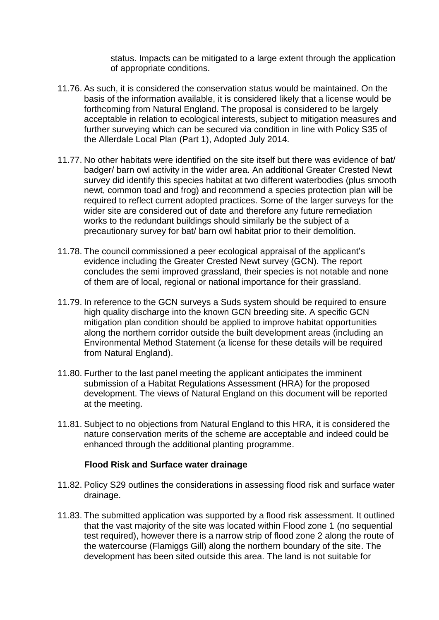status. Impacts can be mitigated to a large extent through the application of appropriate conditions.

- 11.76. As such, it is considered the conservation status would be maintained. On the basis of the information available, it is considered likely that a license would be forthcoming from Natural England. The proposal is considered to be largely acceptable in relation to ecological interests, subject to mitigation measures and further surveying which can be secured via condition in line with Policy S35 of the Allerdale Local Plan (Part 1), Adopted July 2014.
- 11.77. No other habitats were identified on the site itself but there was evidence of bat/ badger/ barn owl activity in the wider area. An additional Greater Crested Newt survey did identify this species habitat at two different waterbodies (plus smooth newt, common toad and frog) and recommend a species protection plan will be required to reflect current adopted practices. Some of the larger surveys for the wider site are considered out of date and therefore any future remediation works to the redundant buildings should similarly be the subject of a precautionary survey for bat/ barn owl habitat prior to their demolition.
- 11.78. The council commissioned a peer ecological appraisal of the applicant's evidence including the Greater Crested Newt survey (GCN). The report concludes the semi improved grassland, their species is not notable and none of them are of local, regional or national importance for their grassland.
- 11.79. In reference to the GCN surveys a Suds system should be required to ensure high quality discharge into the known GCN breeding site. A specific GCN mitigation plan condition should be applied to improve habitat opportunities along the northern corridor outside the built development areas (including an Environmental Method Statement (a license for these details will be required from Natural England).
- 11.80. Further to the last panel meeting the applicant anticipates the imminent submission of a Habitat Regulations Assessment (HRA) for the proposed development. The views of Natural England on this document will be reported at the meeting.
- 11.81. Subject to no objections from Natural England to this HRA, it is considered the nature conservation merits of the scheme are acceptable and indeed could be enhanced through the additional planting programme.

#### **Flood Risk and Surface water drainage**

- 11.82. Policy S29 outlines the considerations in assessing flood risk and surface water drainage.
- 11.83. The submitted application was supported by a flood risk assessment. It outlined that the vast majority of the site was located within Flood zone 1 (no sequential test required), however there is a narrow strip of flood zone 2 along the route of the watercourse (Flamiggs Gill) along the northern boundary of the site. The development has been sited outside this area. The land is not suitable for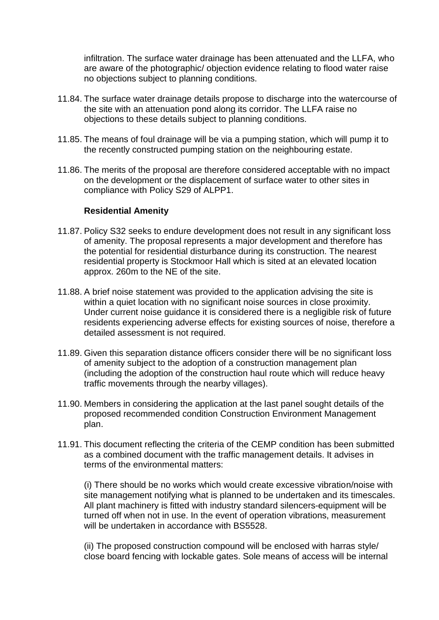infiltration. The surface water drainage has been attenuated and the LLFA, who are aware of the photographic/ objection evidence relating to flood water raise no objections subject to planning conditions.

- 11.84. The surface water drainage details propose to discharge into the watercourse of the site with an attenuation pond along its corridor. The LLFA raise no objections to these details subject to planning conditions.
- 11.85. The means of foul drainage will be via a pumping station, which will pump it to the recently constructed pumping station on the neighbouring estate.
- 11.86. The merits of the proposal are therefore considered acceptable with no impact on the development or the displacement of surface water to other sites in compliance with Policy S29 of ALPP1.

#### **Residential Amenity**

- 11.87. Policy S32 seeks to endure development does not result in any significant loss of amenity. The proposal represents a major development and therefore has the potential for residential disturbance during its construction. The nearest residential property is Stockmoor Hall which is sited at an elevated location approx. 260m to the NE of the site.
- 11.88. A brief noise statement was provided to the application advising the site is within a quiet location with no significant noise sources in close proximity. Under current noise guidance it is considered there is a negligible risk of future residents experiencing adverse effects for existing sources of noise, therefore a detailed assessment is not required.
- 11.89. Given this separation distance officers consider there will be no significant loss of amenity subject to the adoption of a construction management plan (including the adoption of the construction haul route which will reduce heavy traffic movements through the nearby villages).
- 11.90. Members in considering the application at the last panel sought details of the proposed recommended condition Construction Environment Management plan.
- 11.91. This document reflecting the criteria of the CEMP condition has been submitted as a combined document with the traffic management details. It advises in terms of the environmental matters:

(i) There should be no works which would create excessive vibration/noise with site management notifying what is planned to be undertaken and its timescales. All plant machinery is fitted with industry standard silencers-equipment will be turned off when not in use. In the event of operation vibrations, measurement will be undertaken in accordance with BS5528.

(ii) The proposed construction compound will be enclosed with harras style/ close board fencing with lockable gates. Sole means of access will be internal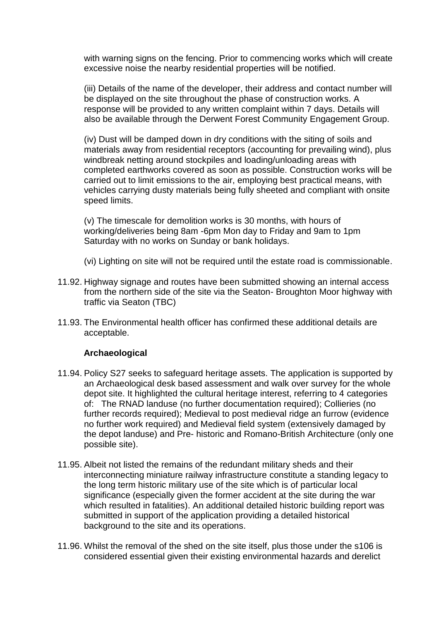with warning signs on the fencing. Prior to commencing works which will create excessive noise the nearby residential properties will be notified.

(iii) Details of the name of the developer, their address and contact number will be displayed on the site throughout the phase of construction works. A response will be provided to any written complaint within 7 days. Details will also be available through the Derwent Forest Community Engagement Group.

(iv) Dust will be damped down in dry conditions with the siting of soils and materials away from residential receptors (accounting for prevailing wind), plus windbreak netting around stockpiles and loading/unloading areas with completed earthworks covered as soon as possible. Construction works will be carried out to limit emissions to the air, employing best practical means, with vehicles carrying dusty materials being fully sheeted and compliant with onsite speed limits.

(v) The timescale for demolition works is 30 months, with hours of working/deliveries being 8am -6pm Mon day to Friday and 9am to 1pm Saturday with no works on Sunday or bank holidays.

(vi) Lighting on site will not be required until the estate road is commissionable.

- 11.92. Highway signage and routes have been submitted showing an internal access from the northern side of the site via the Seaton- Broughton Moor highway with traffic via Seaton (TBC)
- 11.93. The Environmental health officer has confirmed these additional details are acceptable.

#### **Archaeological**

- 11.94. Policy S27 seeks to safeguard heritage assets. The application is supported by an Archaeological desk based assessment and walk over survey for the whole depot site. It highlighted the cultural heritage interest, referring to 4 categories of: The RNAD landuse (no further documentation required); Collieries (no further records required); Medieval to post medieval ridge an furrow (evidence no further work required) and Medieval field system (extensively damaged by the depot landuse) and Pre- historic and Romano-British Architecture (only one possible site).
- 11.95. Albeit not listed the remains of the redundant military sheds and their interconnecting miniature railway infrastructure constitute a standing legacy to the long term historic military use of the site which is of particular local significance (especially given the former accident at the site during the war which resulted in fatalities). An additional detailed historic building report was submitted in support of the application providing a detailed historical background to the site and its operations.
- 11.96. Whilst the removal of the shed on the site itself, plus those under the s106 is considered essential given their existing environmental hazards and derelict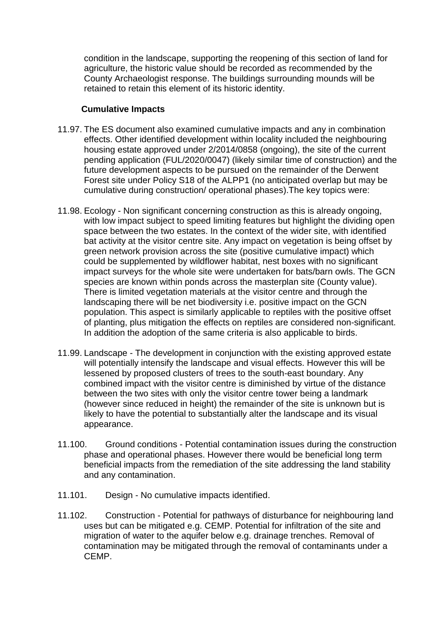condition in the landscape, supporting the reopening of this section of land for agriculture, the historic value should be recorded as recommended by the County Archaeologist response. The buildings surrounding mounds will be retained to retain this element of its historic identity.

#### **Cumulative Impacts**

- 11.97. The ES document also examined cumulative impacts and any in combination effects. Other identified development within locality included the neighbouring housing estate approved under 2/2014/0858 (ongoing), the site of the current pending application (FUL/2020/0047) (likely similar time of construction) and the future development aspects to be pursued on the remainder of the Derwent Forest site under Policy S18 of the ALPP1 (no anticipated overlap but may be cumulative during construction/ operational phases).The key topics were:
- 11.98. Ecology Non significant concerning construction as this is already ongoing, with low impact subject to speed limiting features but highlight the dividing open space between the two estates. In the context of the wider site, with identified bat activity at the visitor centre site. Any impact on vegetation is being offset by green network provision across the site (positive cumulative impact) which could be supplemented by wildflower habitat, nest boxes with no significant impact surveys for the whole site were undertaken for bats/barn owls. The GCN species are known within ponds across the masterplan site (County value). There is limited vegetation materials at the visitor centre and through the landscaping there will be net biodiversity i.e. positive impact on the GCN population. This aspect is similarly applicable to reptiles with the positive offset of planting, plus mitigation the effects on reptiles are considered non-significant. In addition the adoption of the same criteria is also applicable to birds.
- 11.99. Landscape The development in conjunction with the existing approved estate will potentially intensify the landscape and visual effects. However this will be lessened by proposed clusters of trees to the south-east boundary. Any combined impact with the visitor centre is diminished by virtue of the distance between the two sites with only the visitor centre tower being a landmark (however since reduced in height) the remainder of the site is unknown but is likely to have the potential to substantially alter the landscape and its visual appearance.
- 11.100. Ground conditions Potential contamination issues during the construction phase and operational phases. However there would be beneficial long term beneficial impacts from the remediation of the site addressing the land stability and any contamination.
- 11.101. Design No cumulative impacts identified.
- 11.102. Construction Potential for pathways of disturbance for neighbouring land uses but can be mitigated e.g. CEMP. Potential for infiltration of the site and migration of water to the aquifer below e.g. drainage trenches. Removal of contamination may be mitigated through the removal of contaminants under a CEMP.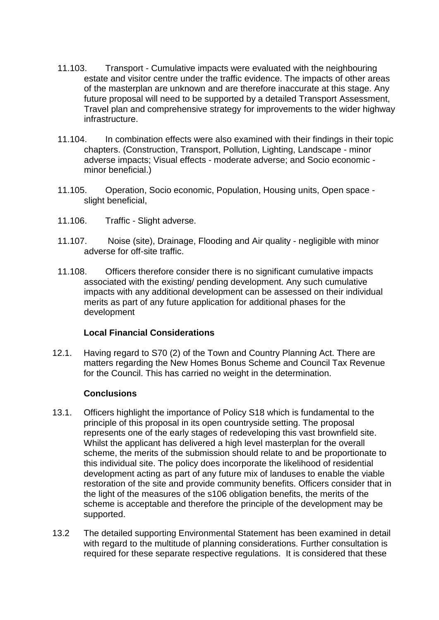- 11.103. Transport Cumulative impacts were evaluated with the neighbouring estate and visitor centre under the traffic evidence. The impacts of other areas of the masterplan are unknown and are therefore inaccurate at this stage. Any future proposal will need to be supported by a detailed Transport Assessment, Travel plan and comprehensive strategy for improvements to the wider highway infrastructure.
- 11.104. In combination effects were also examined with their findings in their topic chapters. (Construction, Transport, Pollution, Lighting, Landscape - minor adverse impacts; Visual effects - moderate adverse; and Socio economic minor beneficial.)
- 11.105. Operation, Socio economic, Population, Housing units, Open space slight beneficial,
- 11.106. Traffic Slight adverse.
- 11.107. Noise (site), Drainage, Flooding and Air quality negligible with minor adverse for off-site traffic.
- 11.108. Officers therefore consider there is no significant cumulative impacts associated with the existing/ pending development. Any such cumulative impacts with any additional development can be assessed on their individual merits as part of any future application for additional phases for the development

# **Local Financial Considerations**

12.1. Having regard to S70 (2) of the Town and Country Planning Act. There are matters regarding the New Homes Bonus Scheme and Council Tax Revenue for the Council. This has carried no weight in the determination.

#### **Conclusions**

- 13.1. Officers highlight the importance of Policy S18 which is fundamental to the principle of this proposal in its open countryside setting. The proposal represents one of the early stages of redeveloping this vast brownfield site. Whilst the applicant has delivered a high level masterplan for the overall scheme, the merits of the submission should relate to and be proportionate to this individual site. The policy does incorporate the likelihood of residential development acting as part of any future mix of landuses to enable the viable restoration of the site and provide community benefits. Officers consider that in the light of the measures of the s106 obligation benefits, the merits of the scheme is acceptable and therefore the principle of the development may be supported.
- 13.2 The detailed supporting Environmental Statement has been examined in detail with regard to the multitude of planning considerations. Further consultation is required for these separate respective regulations. It is considered that these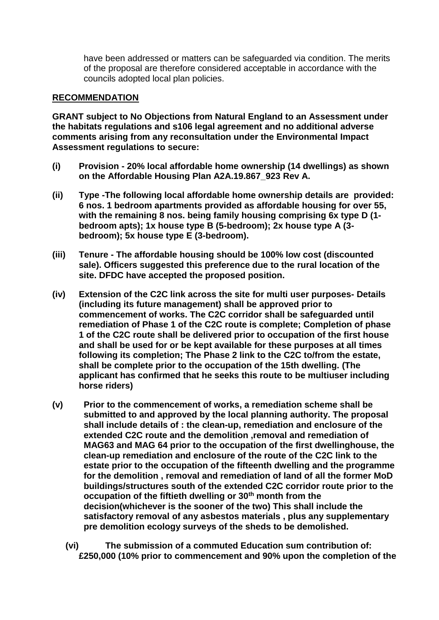have been addressed or matters can be safeguarded via condition. The merits of the proposal are therefore considered acceptable in accordance with the councils adopted local plan policies.

#### **RECOMMENDATION**

**GRANT subject to No Objections from Natural England to an Assessment under the habitats regulations and s106 legal agreement and no additional adverse comments arising from any reconsultation under the Environmental Impact Assessment regulations to secure:**

- **(i) Provision - 20% local affordable home ownership (14 dwellings) as shown on the Affordable Housing Plan A2A.19.867\_923 Rev A.**
- **(ii) Type -The following local affordable home ownership details are provided: 6 nos. 1 bedroom apartments provided as affordable housing for over 55, with the remaining 8 nos. being family housing comprising 6x type D (1 bedroom apts); 1x house type B (5-bedroom); 2x house type A (3 bedroom); 5x house type E (3-bedroom).**
- **(iii) Tenure - The affordable housing should be 100% low cost (discounted sale). Officers suggested this preference due to the rural location of the site. DFDC have accepted the proposed position.**
- **(iv) Extension of the C2C link across the site for multi user purposes- Details (including its future management) shall be approved prior to commencement of works. The C2C corridor shall be safeguarded until remediation of Phase 1 of the C2C route is complete; Completion of phase 1 of the C2C route shall be delivered prior to occupation of the first house and shall be used for or be kept available for these purposes at all times following its completion; The Phase 2 link to the C2C to/from the estate, shall be complete prior to the occupation of the 15th dwelling. (The applicant has confirmed that he seeks this route to be multiuser including horse riders)**
- **(v) Prior to the commencement of works, a remediation scheme shall be submitted to and approved by the local planning authority. The proposal shall include details of : the clean-up, remediation and enclosure of the extended C2C route and the demolition ,removal and remediation of MAG63 and MAG 64 prior to the occupation of the first dwellinghouse, the clean-up remediation and enclosure of the route of the C2C link to the estate prior to the occupation of the fifteenth dwelling and the programme for the demolition , removal and remediation of land of all the former MoD buildings/structures south of the extended C2C corridor route prior to the occupation of the fiftieth dwelling or 30th month from the decision(whichever is the sooner of the two) This shall include the satisfactory removal of any asbestos materials , plus any supplementary pre demolition ecology surveys of the sheds to be demolished.**
	- **(vi) The submission of a commuted Education sum contribution of: £250,000 (10% prior to commencement and 90% upon the completion of the**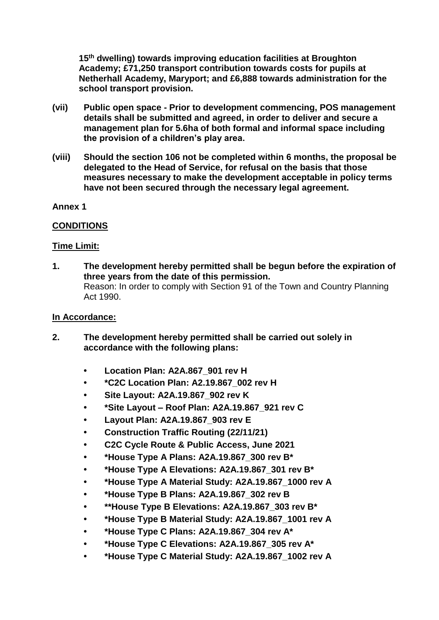**15th dwelling) towards improving education facilities at Broughton Academy; £71,250 transport contribution towards costs for pupils at Netherhall Academy, Maryport; and £6,888 towards administration for the school transport provision.** 

- **(vii) Public open space - Prior to development commencing, POS management details shall be submitted and agreed, in order to deliver and secure a management plan for 5.6ha of both formal and informal space including the provision of a children's play area.**
- **(viii) Should the section 106 not be completed within 6 months, the proposal be delegated to the Head of Service, for refusal on the basis that those measures necessary to make the development acceptable in policy terms have not been secured through the necessary legal agreement.**
- **Annex 1**

### **CONDITIONS**

#### **Time Limit:**

**1. The development hereby permitted shall be begun before the expiration of three years from the date of this permission.** Reason: In order to comply with Section 91 of the Town and Country Planning Act 1990.

#### **In Accordance:**

- **2. The development hereby permitted shall be carried out solely in accordance with the following plans:**
	- **Location Plan: A2A.867\_901 rev H**
	- **\*C2C Location Plan: A2.19.867\_002 rev H**
	- **Site Layout: A2A.19.867\_902 rev K**
	- **\*Site Layout – Roof Plan: A2A.19.867\_921 rev C**
	- **Layout Plan: A2A.19.867\_903 rev E**
	- **Construction Traffic Routing (22/11/21)**
	- **C2C Cycle Route & Public Access, June 2021**
	- **\*House Type A Plans: A2A.19.867\_300 rev B\***
	- **\*House Type A Elevations: A2A.19.867\_301 rev B\***
	- **\*House Type A Material Study: A2A.19.867\_1000 rev A**
	- **\*House Type B Plans: A2A.19.867\_302 rev B**
	- **• \*\*House Type B Elevations: A2A.19.867\_303 rev B\***
	- **\*House Type B Material Study: A2A.19.867\_1001 rev A**
	- **\*House Type C Plans: A2A.19.867\_304 rev A\***
	- **\*House Type C Elevations: A2A.19.867\_305 rev A\***
	- **\*House Type C Material Study: A2A.19.867\_1002 rev A**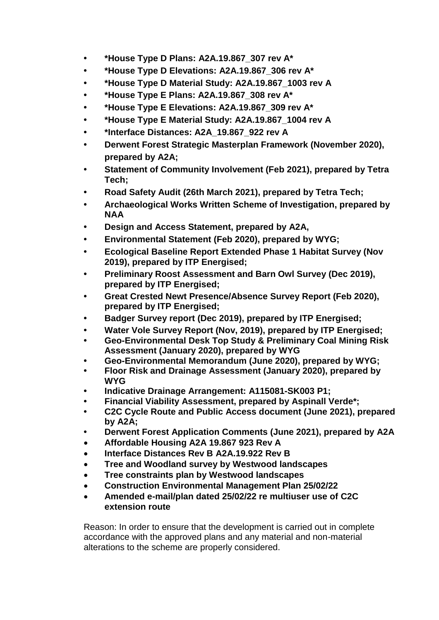- **\*House Type D Plans: A2A.19.867\_307 rev A\***
- **\*House Type D Elevations: A2A.19.867\_306 rev A\***
- **\*House Type D Material Study: A2A.19.867\_1003 rev A**
- **\*House Type E Plans: A2A.19.867\_308 rev A\***
- **\*House Type E Elevations: A2A.19.867\_309 rev A\***
- **\*House Type E Material Study: A2A.19.867\_1004 rev A**
- **\*Interface Distances: A2A\_19.867\_922 rev A**
- **Derwent Forest Strategic Masterplan Framework (November 2020), prepared by A2A;**
- **Statement of Community Involvement (Feb 2021), prepared by Tetra Tech;**
- **Road Safety Audit (26th March 2021), prepared by Tetra Tech;**
- **Archaeological Works Written Scheme of Investigation, prepared by NAA**
- **Design and Access Statement, prepared by A2A,**
- **Environmental Statement (Feb 2020), prepared by WYG;**
- **• Ecological Baseline Report Extended Phase 1 Habitat Survey (Nov 2019), prepared by ITP Energised;**
- **• Preliminary Roost Assessment and Barn Owl Survey (Dec 2019), prepared by ITP Energised;**
- **Great Crested Newt Presence/Absence Survey Report (Feb 2020), prepared by ITP Energised;**
- **• Badger Survey report (Dec 2019), prepared by ITP Energised;**
- **• Water Vole Survey Report (Nov, 2019), prepared by ITP Energised;**
- **Geo-Environmental Desk Top Study & Preliminary Coal Mining Risk Assessment (January 2020), prepared by WYG**
- **Geo-Environmental Memorandum (June 2020), prepared by WYG;**
- **Floor Risk and Drainage Assessment (January 2020), prepared by WYG**
- **Indicative Drainage Arrangement: A115081-SK003 P1;**
- **Financial Viability Assessment, prepared by Aspinall Verde\*;**
- **C2C Cycle Route and Public Access document (June 2021), prepared by A2A;**
- **Derwent Forest Application Comments (June 2021), prepared by A2A**
- **Affordable Housing A2A 19.867 923 Rev A**
- **Interface Distances Rev B A2A.19.922 Rev B**
- **Tree and Woodland survey by Westwood landscapes**
- **Tree constraints plan by Westwood landscapes**
- **Construction Environmental Management Plan 25/02/22**
- **Amended e-mail/plan dated 25/02/22 re multiuser use of C2C extension route**

Reason: In order to ensure that the development is carried out in complete accordance with the approved plans and any material and non-material alterations to the scheme are properly considered.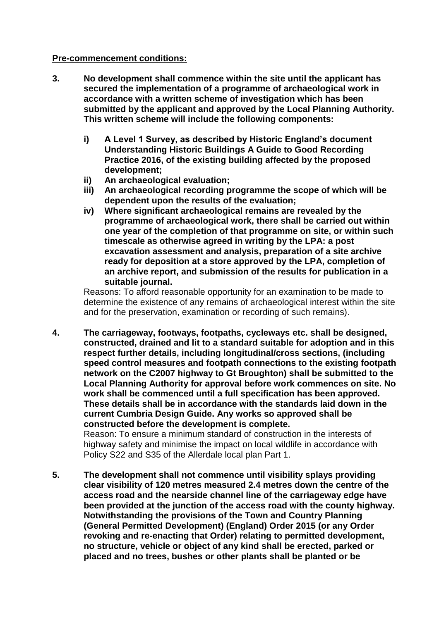#### **Pre-commencement conditions:**

- **3. No development shall commence within the site until the applicant has secured the implementation of a programme of archaeological work in accordance with a written scheme of investigation which has been submitted by the applicant and approved by the Local Planning Authority. This written scheme will include the following components:**
	- **i) A Level 1 Survey, as described by Historic England's document Understanding Historic Buildings A Guide to Good Recording Practice 2016, of the existing building affected by the proposed development;**
	- **ii) An archaeological evaluation;**
	- **iii) An archaeological recording programme the scope of which will be dependent upon the results of the evaluation;**
	- **iv) Where significant archaeological remains are revealed by the programme of archaeological work, there shall be carried out within one year of the completion of that programme on site, or within such timescale as otherwise agreed in writing by the LPA: a post excavation assessment and analysis, preparation of a site archive ready for deposition at a store approved by the LPA, completion of an archive report, and submission of the results for publication in a suitable journal.**

Reasons: To afford reasonable opportunity for an examination to be made to determine the existence of any remains of archaeological interest within the site and for the preservation, examination or recording of such remains).

**4. The carriageway, footways, footpaths, cycleways etc. shall be designed, constructed, drained and lit to a standard suitable for adoption and in this respect further details, including longitudinal/cross sections, (including speed control measures and footpath connections to the existing footpath network on the C2007 highway to Gt Broughton) shall be submitted to the Local Planning Authority for approval before work commences on site. No work shall be commenced until a full specification has been approved. These details shall be in accordance with the standards laid down in the current Cumbria Design Guide. Any works so approved shall be constructed before the development is complete.**

Reason: To ensure a minimum standard of construction in the interests of highway safety and minimise the impact on local wildlife in accordance with Policy S22 and S35 of the Allerdale local plan Part 1.

**5. The development shall not commence until visibility splays providing clear visibility of 120 metres measured 2.4 metres down the centre of the access road and the nearside channel line of the carriageway edge have been provided at the junction of the access road with the county highway. Notwithstanding the provisions of the Town and Country Planning (General Permitted Development) (England) Order 2015 (or any Order revoking and re-enacting that Order) relating to permitted development, no structure, vehicle or object of any kind shall be erected, parked or placed and no trees, bushes or other plants shall be planted or be**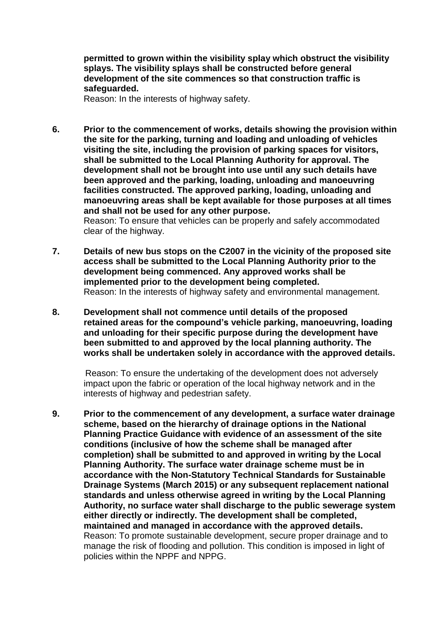**permitted to grown within the visibility splay which obstruct the visibility splays. The visibility splays shall be constructed before general development of the site commences so that construction traffic is safeguarded.**

Reason: In the interests of highway safety.

**6. Prior to the commencement of works, details showing the provision within the site for the parking, turning and loading and unloading of vehicles visiting the site, including the provision of parking spaces for visitors, shall be submitted to the Local Planning Authority for approval. The development shall not be brought into use until any such details have been approved and the parking, loading, unloading and manoeuvring facilities constructed. The approved parking, loading, unloading and manoeuvring areas shall be kept available for those purposes at all times and shall not be used for any other purpose.**

Reason: To ensure that vehicles can be properly and safely accommodated clear of the highway.

- **7. Details of new bus stops on the C2007 in the vicinity of the proposed site access shall be submitted to the Local Planning Authority prior to the development being commenced. Any approved works shall be implemented prior to the development being completed.** Reason: In the interests of highway safety and environmental management.
- **8. Development shall not commence until details of the proposed retained areas for the compound's vehicle parking, manoeuvring, loading and unloading for their specific purpose during the development have been submitted to and approved by the local planning authority. The works shall be undertaken solely in accordance with the approved details.**

 Reason: To ensure the undertaking of the development does not adversely impact upon the fabric or operation of the local highway network and in the interests of highway and pedestrian safety.

**9. Prior to the commencement of any development, a surface water drainage scheme, based on the hierarchy of drainage options in the National Planning Practice Guidance with evidence of an assessment of the site conditions (inclusive of how the scheme shall be managed after completion) shall be submitted to and approved in writing by the Local Planning Authority. The surface water drainage scheme must be in accordance with the Non-Statutory Technical Standards for Sustainable Drainage Systems (March 2015) or any subsequent replacement national standards and unless otherwise agreed in writing by the Local Planning Authority, no surface water shall discharge to the public sewerage system either directly or indirectly. The development shall be completed, maintained and managed in accordance with the approved details.** Reason: To promote sustainable development, secure proper drainage and to manage the risk of flooding and pollution. This condition is imposed in light of policies within the NPPF and NPPG.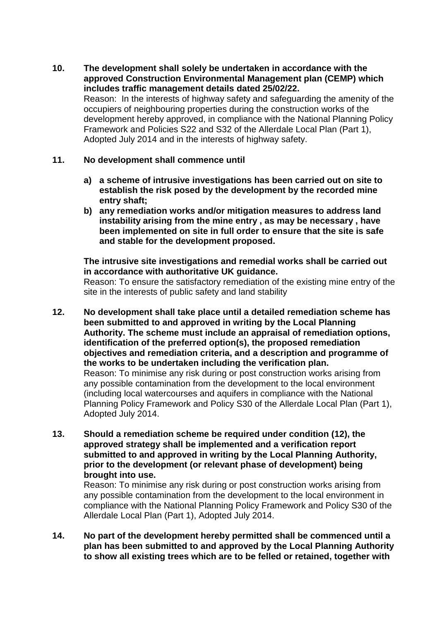**10. The development shall solely be undertaken in accordance with the approved Construction Environmental Management plan (CEMP) which includes traffic management details dated 25/02/22.** Reason: In the interests of highway safety and safeguarding the amenity of the occupiers of neighbouring properties during the construction works of the development hereby approved, in compliance with the National Planning Policy Framework and Policies S22 and S32 of the Allerdale Local Plan (Part 1), Adopted July 2014 and in the interests of highway safety.

### **11. No development shall commence until**

- **a) a scheme of intrusive investigations has been carried out on site to establish the risk posed by the development by the recorded mine entry shaft;**
- **b) any remediation works and/or mitigation measures to address land instability arising from the mine entry , as may be necessary , have been implemented on site in full order to ensure that the site is safe and stable for the development proposed.**

**The intrusive site investigations and remedial works shall be carried out in accordance with authoritative UK guidance.**

Reason: To ensure the satisfactory remediation of the existing mine entry of the site in the interests of public safety and land stability

- **12. No development shall take place until a detailed remediation scheme has been submitted to and approved in writing by the Local Planning Authority. The scheme must include an appraisal of remediation options, identification of the preferred option(s), the proposed remediation objectives and remediation criteria, and a description and programme of the works to be undertaken including the verification plan.** Reason: To minimise any risk during or post construction works arising from any possible contamination from the development to the local environment (including local watercourses and aquifers in compliance with the National Planning Policy Framework and Policy S30 of the Allerdale Local Plan (Part 1), Adopted July 2014.
- **13. Should a remediation scheme be required under condition (12), the approved strategy shall be implemented and a verification report submitted to and approved in writing by the Local Planning Authority, prior to the development (or relevant phase of development) being brought into use.**

 Reason: To minimise any risk during or post construction works arising from any possible contamination from the development to the local environment in compliance with the National Planning Policy Framework and Policy S30 of the Allerdale Local Plan (Part 1), Adopted July 2014.

**14. No part of the development hereby permitted shall be commenced until a plan has been submitted to and approved by the Local Planning Authority to show all existing trees which are to be felled or retained, together with**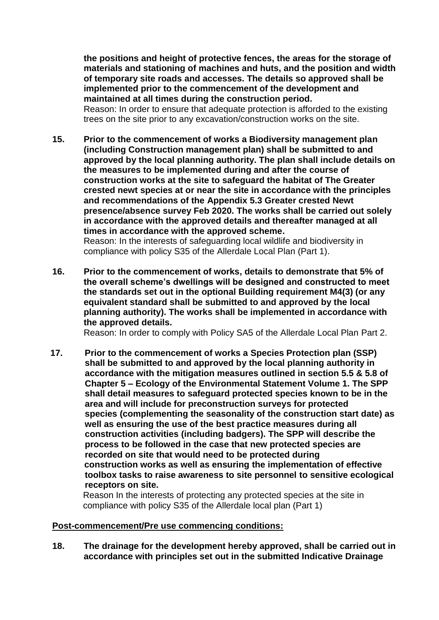**the positions and height of protective fences, the areas for the storage of materials and stationing of machines and huts, and the position and width of temporary site roads and accesses. The details so approved shall be implemented prior to the commencement of the development and maintained at all times during the construction period.** Reason: In order to ensure that adequate protection is afforded to the existing trees on the site prior to any excavation/construction works on the site.

- **15. Prior to the commencement of works a Biodiversity management plan (including Construction management plan) shall be submitted to and approved by the local planning authority. The plan shall include details on the measures to be implemented during and after the course of construction works at the site to safeguard the habitat of The Greater crested newt species at or near the site in accordance with the principles and recommendations of the Appendix 5.3 Greater crested Newt presence/absence survey Feb 2020. The works shall be carried out solely in accordance with the approved details and thereafter managed at all times in accordance with the approved scheme.** Reason: In the interests of safeguarding local wildlife and biodiversity in compliance with policy S35 of the Allerdale Local Plan (Part 1).
- **16. Prior to the commencement of works, details to demonstrate that 5% of the overall scheme's dwellings will be designed and constructed to meet the standards set out in the optional Building requirement M4(3) (or any equivalent standard shall be submitted to and approved by the local planning authority). The works shall be implemented in accordance with the approved details.**

Reason: In order to comply with Policy SA5 of the Allerdale Local Plan Part 2.

 **17. Prior to the commencement of works a Species Protection plan (SSP) shall be submitted to and approved by the local planning authority in accordance with the mitigation measures outlined in section 5.5 & 5.8 of Chapter 5 – Ecology of the Environmental Statement Volume 1. The SPP shall detail measures to safeguard protected species known to be in the area and will include for preconstruction surveys for protected species (complementing the seasonality of the construction start date) as well as ensuring the use of the best practice measures during all construction activities (including badgers). The SPP will describe the process to be followed in the case that new protected species are recorded on site that would need to be protected during construction works as well as ensuring the implementation of effective toolbox tasks to raise awareness to site personnel to sensitive ecological receptors on site.** 

 Reason In the interests of protecting any protected species at the site in compliance with policy S35 of the Allerdale local plan (Part 1)

#### **Post-commencement/Pre use commencing conditions:**

**18. The drainage for the development hereby approved, shall be carried out in accordance with principles set out in the submitted Indicative Drainage**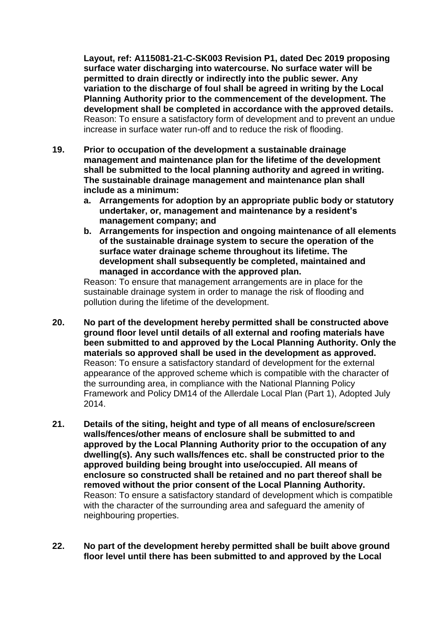**Layout, ref: A115081-21-C-SK003 Revision P1, dated Dec 2019 proposing surface water discharging into watercourse. No surface water will be permitted to drain directly or indirectly into the public sewer. Any variation to the discharge of foul shall be agreed in writing by the Local Planning Authority prior to the commencement of the development. The development shall be completed in accordance with the approved details.**  Reason: To ensure a satisfactory form of development and to prevent an undue increase in surface water run-off and to reduce the risk of flooding.

- **19. Prior to occupation of the development a sustainable drainage management and maintenance plan for the lifetime of the development shall be submitted to the local planning authority and agreed in writing. The sustainable drainage management and maintenance plan shall include as a minimum:**
	- **a. Arrangements for adoption by an appropriate public body or statutory undertaker, or, management and maintenance by a resident's management company; and**
	- **b. Arrangements for inspection and ongoing maintenance of all elements of the sustainable drainage system to secure the operation of the surface water drainage scheme throughout its lifetime. The development shall subsequently be completed, maintained and managed in accordance with the approved plan.**

Reason: To ensure that management arrangements are in place for the sustainable drainage system in order to manage the risk of flooding and pollution during the lifetime of the development.

- **20. No part of the development hereby permitted shall be constructed above ground floor level until details of all external and roofing materials have been submitted to and approved by the Local Planning Authority. Only the materials so approved shall be used in the development as approved.** Reason: To ensure a satisfactory standard of development for the external appearance of the approved scheme which is compatible with the character of the surrounding area, in compliance with the National Planning Policy Framework and Policy DM14 of the Allerdale Local Plan (Part 1), Adopted July 2014.
- **21. Details of the siting, height and type of all means of enclosure/screen walls/fences/other means of enclosure shall be submitted to and approved by the Local Planning Authority prior to the occupation of any dwelling(s). Any such walls/fences etc. shall be constructed prior to the approved building being brought into use/occupied. All means of enclosure so constructed shall be retained and no part thereof shall be removed without the prior consent of the Local Planning Authority.** Reason: To ensure a satisfactory standard of development which is compatible with the character of the surrounding area and safeguard the amenity of neighbouring properties.
- **22. No part of the development hereby permitted shall be built above ground floor level until there has been submitted to and approved by the Local**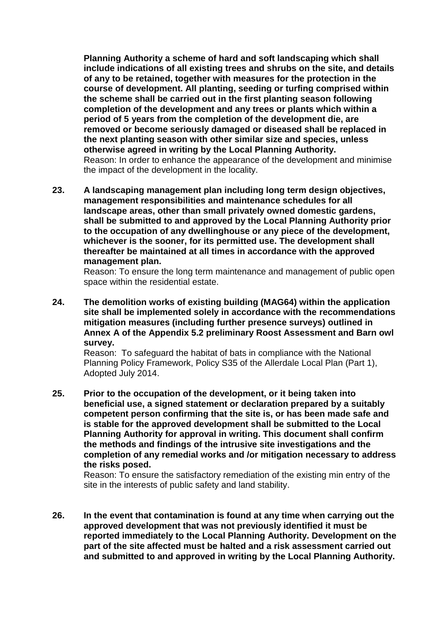**Planning Authority a scheme of hard and soft landscaping which shall include indications of all existing trees and shrubs on the site, and details of any to be retained, together with measures for the protection in the course of development. All planting, seeding or turfing comprised within the scheme shall be carried out in the first planting season following completion of the development and any trees or plants which within a period of 5 years from the completion of the development die, are removed or become seriously damaged or diseased shall be replaced in the next planting season with other similar size and species, unless otherwise agreed in writing by the Local Planning Authority.**  Reason: In order to enhance the appearance of the development and minimise the impact of the development in the locality.

**23. A landscaping management plan including long term design objectives, management responsibilities and maintenance schedules for all landscape areas, other than small privately owned domestic gardens, shall be submitted to and approved by the Local Planning Authority prior to the occupation of any dwellinghouse or any piece of the development, whichever is the sooner, for its permitted use. The development shall thereafter be maintained at all times in accordance with the approved management plan.**

Reason: To ensure the long term maintenance and management of public open space within the residential estate.

**24. The demolition works of existing building (MAG64) within the application site shall be implemented solely in accordance with the recommendations mitigation measures (including further presence surveys) outlined in Annex A of the Appendix 5.2 preliminary Roost Assessment and Barn owl survey.**

Reason: To safeguard the habitat of bats in compliance with the National Planning Policy Framework, Policy S35 of the Allerdale Local Plan (Part 1), Adopted July 2014.

**25. Prior to the occupation of the development, or it being taken into beneficial use, a signed statement or declaration prepared by a suitably competent person confirming that the site is, or has been made safe and is stable for the approved development shall be submitted to the Local Planning Authority for approval in writing. This document shall confirm the methods and findings of the intrusive site investigations and the completion of any remedial works and /or mitigation necessary to address the risks posed.**

Reason: To ensure the satisfactory remediation of the existing min entry of the site in the interests of public safety and land stability.

**26. In the event that contamination is found at any time when carrying out the approved development that was not previously identified it must be reported immediately to the Local Planning Authority. Development on the part of the site affected must be halted and a risk assessment carried out and submitted to and approved in writing by the Local Planning Authority.**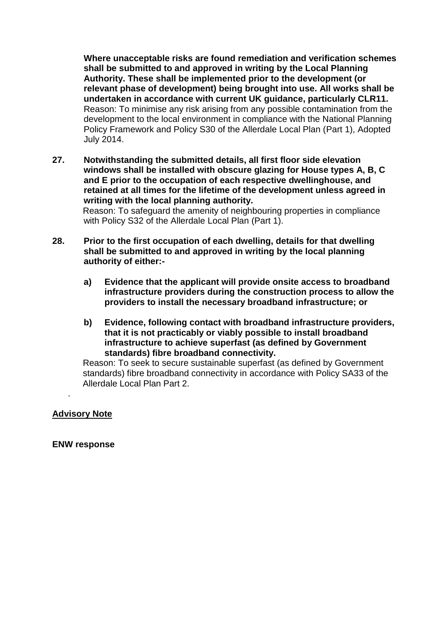**Where unacceptable risks are found remediation and verification schemes shall be submitted to and approved in writing by the Local Planning Authority. These shall be implemented prior to the development (or relevant phase of development) being brought into use. All works shall be undertaken in accordance with current UK guidance, particularly CLR11.** Reason: To minimise any risk arising from any possible contamination from the development to the local environment in compliance with the National Planning Policy Framework and Policy S30 of the Allerdale Local Plan (Part 1), Adopted July 2014.

**27. Notwithstanding the submitted details, all first floor side elevation windows shall be installed with obscure glazing for House types A, B, C and E prior to the occupation of each respective dwellinghouse, and retained at all times for the lifetime of the development unless agreed in writing with the local planning authority.**

Reason: To safeguard the amenity of neighbouring properties in compliance with Policy S32 of the Allerdale Local Plan (Part 1).

- **28. Prior to the first occupation of each dwelling, details for that dwelling shall be submitted to and approved in writing by the local planning authority of either:**
	- **a) Evidence that the applicant will provide onsite access to broadband infrastructure providers during the construction process to allow the providers to install the necessary broadband infrastructure; or**
	- **b) Evidence, following contact with broadband infrastructure providers, that it is not practicably or viably possible to install broadband infrastructure to achieve superfast (as defined by Government standards) fibre broadband connectivity.**

 Reason: To seek to secure sustainable superfast (as defined by Government standards) fibre broadband connectivity in accordance with Policy SA33 of the Allerdale Local Plan Part 2.

#### **Advisory Note**

.

**ENW response**